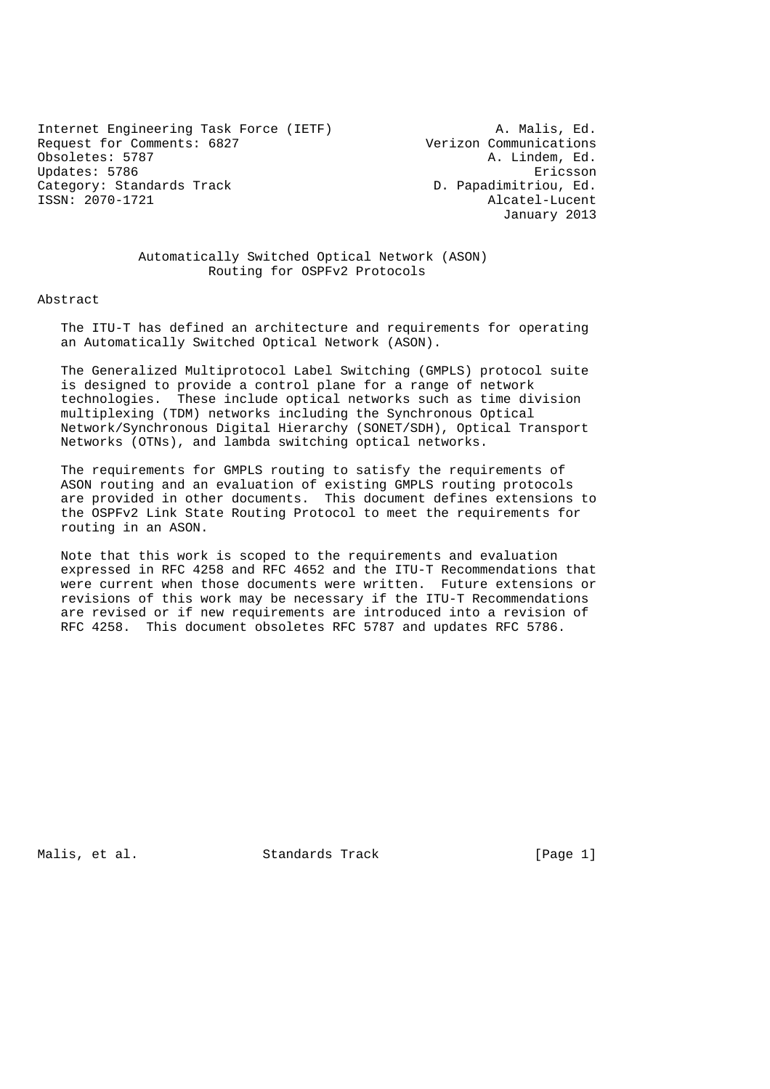Internet Engineering Task Force (IETF) a. Malis, Ed.<br>Request for Comments: 6827 Merizon Communications Request for Comments: 6827<br>Obsoletes: 5787 Updates: 5786 Ericsson Category: Standards Track D. Papadimitriou, Ed. ISSN: 2070-1721 Alcatel-Lucent

A. Lindem, Ed. January 2013

### Automatically Switched Optical Network (ASON) Routing for OSPFv2 Protocols

### Abstract

 The ITU-T has defined an architecture and requirements for operating an Automatically Switched Optical Network (ASON).

 The Generalized Multiprotocol Label Switching (GMPLS) protocol suite is designed to provide a control plane for a range of network technologies. These include optical networks such as time division multiplexing (TDM) networks including the Synchronous Optical Network/Synchronous Digital Hierarchy (SONET/SDH), Optical Transport Networks (OTNs), and lambda switching optical networks.

 The requirements for GMPLS routing to satisfy the requirements of ASON routing and an evaluation of existing GMPLS routing protocols are provided in other documents. This document defines extensions to the OSPFv2 Link State Routing Protocol to meet the requirements for routing in an ASON.

 Note that this work is scoped to the requirements and evaluation expressed in RFC 4258 and RFC 4652 and the ITU-T Recommendations that were current when those documents were written. Future extensions or revisions of this work may be necessary if the ITU-T Recommendations are revised or if new requirements are introduced into a revision of RFC 4258. This document obsoletes RFC 5787 and updates RFC 5786.

Malis, et al. Standards Track [Page 1]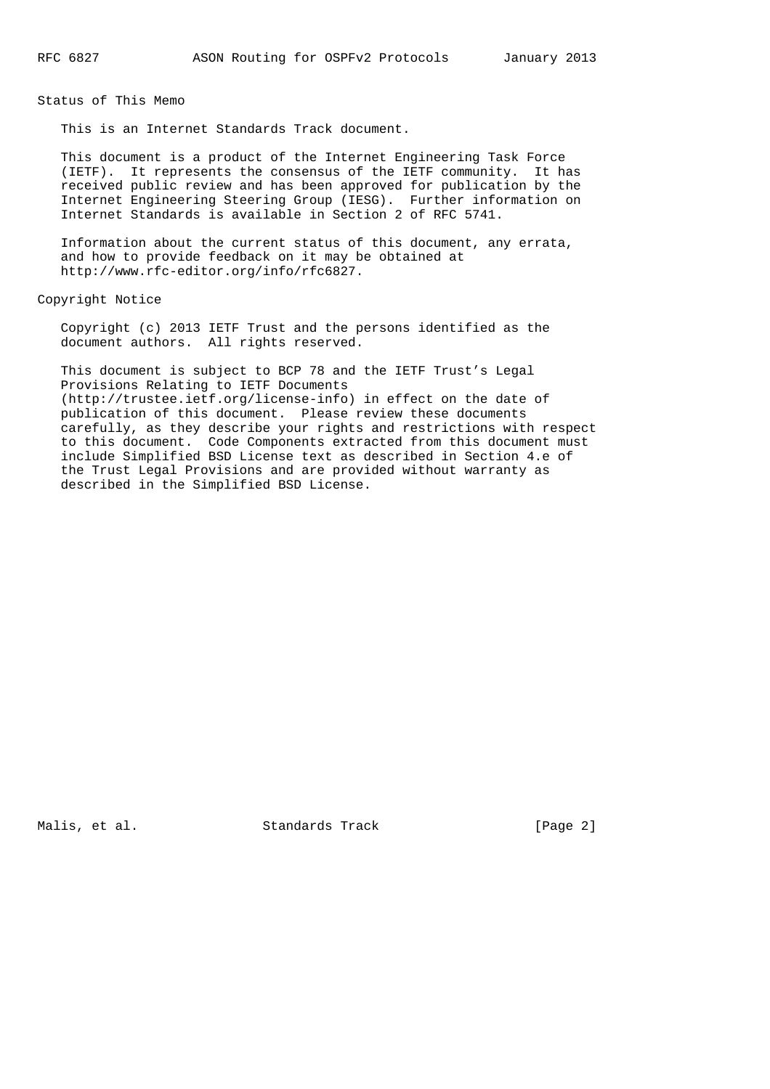Status of This Memo

This is an Internet Standards Track document.

 This document is a product of the Internet Engineering Task Force (IETF). It represents the consensus of the IETF community. It has received public review and has been approved for publication by the Internet Engineering Steering Group (IESG). Further information on Internet Standards is available in Section 2 of RFC 5741.

 Information about the current status of this document, any errata, and how to provide feedback on it may be obtained at http://www.rfc-editor.org/info/rfc6827.

Copyright Notice

 Copyright (c) 2013 IETF Trust and the persons identified as the document authors. All rights reserved.

 This document is subject to BCP 78 and the IETF Trust's Legal Provisions Relating to IETF Documents (http://trustee.ietf.org/license-info) in effect on the date of publication of this document. Please review these documents carefully, as they describe your rights and restrictions with respect to this document. Code Components extracted from this document must include Simplified BSD License text as described in Section 4.e of the Trust Legal Provisions and are provided without warranty as described in the Simplified BSD License.

Malis, et al. Standards Track [Page 2]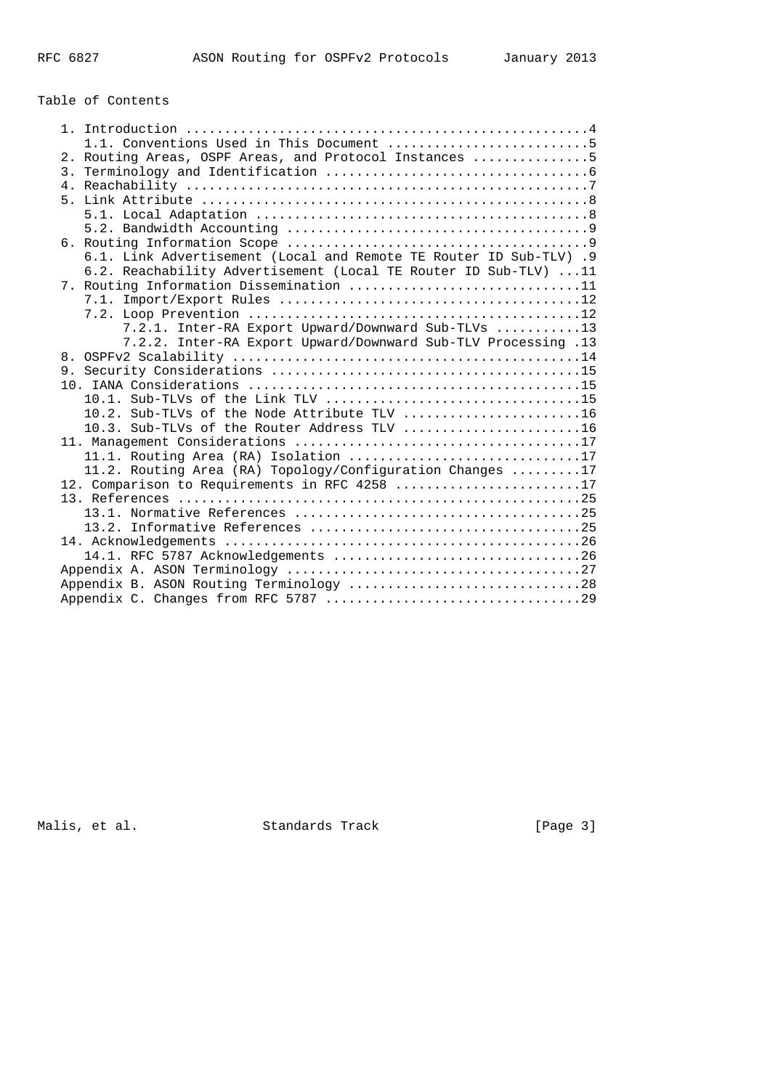# Table of Contents

| 1.1. Conventions Used in This Document 5                           |  |
|--------------------------------------------------------------------|--|
| 2. Routing Areas, OSPF Areas, and Protocol Instances 5             |  |
|                                                                    |  |
|                                                                    |  |
|                                                                    |  |
|                                                                    |  |
|                                                                    |  |
|                                                                    |  |
| 6.1. Link Advertisement (Local and Remote TE Router ID Sub-TLV) .9 |  |
| 6.2. Reachability Advertisement (Local TE Router ID Sub-TLV) 11    |  |
| 7. Routing Information Dissemination 11                            |  |
|                                                                    |  |
|                                                                    |  |
| 7.2.1. Inter-RA Export Upward/Downward Sub-TLVs 13                 |  |
| 7.2.2. Inter-RA Export Upward/Downward Sub-TLV Processing .13      |  |
|                                                                    |  |
|                                                                    |  |
|                                                                    |  |
| 10.1. Sub-TLVs of the Link TLV 15                                  |  |
| 10.2. Sub-TLVs of the Node Attribute TLV 16                        |  |
| 10.3. Sub-TLVs of the Router Address TLV 16                        |  |
|                                                                    |  |
| 11.1. Routing Area (RA) Isolation 17                               |  |
| 11.2. Routing Area (RA) Topology/Configuration Changes 17          |  |
| 12. Comparison to Requirements in RFC 4258 17                      |  |
|                                                                    |  |
|                                                                    |  |
|                                                                    |  |
|                                                                    |  |
|                                                                    |  |
|                                                                    |  |
| Appendix B. ASON Routing Terminology 28                            |  |
|                                                                    |  |

Malis, et al. Standards Track Frack [Page 3]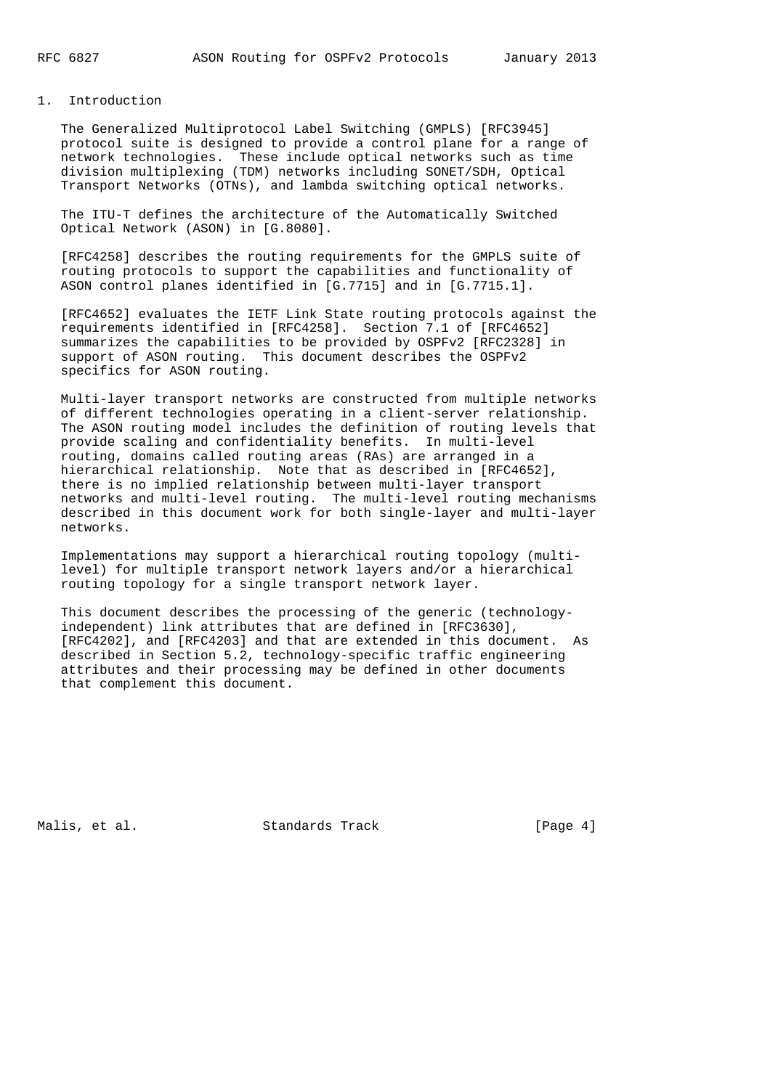### 1. Introduction

 The Generalized Multiprotocol Label Switching (GMPLS) [RFC3945] protocol suite is designed to provide a control plane for a range of network technologies. These include optical networks such as time division multiplexing (TDM) networks including SONET/SDH, Optical Transport Networks (OTNs), and lambda switching optical networks.

 The ITU-T defines the architecture of the Automatically Switched Optical Network (ASON) in [G.8080].

 [RFC4258] describes the routing requirements for the GMPLS suite of routing protocols to support the capabilities and functionality of ASON control planes identified in [G.7715] and in [G.7715.1].

 [RFC4652] evaluates the IETF Link State routing protocols against the requirements identified in [RFC4258]. Section 7.1 of [RFC4652] summarizes the capabilities to be provided by OSPFv2 [RFC2328] in support of ASON routing. This document describes the OSPFv2 specifics for ASON routing.

 Multi-layer transport networks are constructed from multiple networks of different technologies operating in a client-server relationship. The ASON routing model includes the definition of routing levels that provide scaling and confidentiality benefits. In multi-level routing, domains called routing areas (RAs) are arranged in a hierarchical relationship. Note that as described in [RFC4652], there is no implied relationship between multi-layer transport networks and multi-level routing. The multi-level routing mechanisms described in this document work for both single-layer and multi-layer networks.

 Implementations may support a hierarchical routing topology (multi level) for multiple transport network layers and/or a hierarchical routing topology for a single transport network layer.

 This document describes the processing of the generic (technology independent) link attributes that are defined in [RFC3630], [RFC4202], and [RFC4203] and that are extended in this document. As described in Section 5.2, technology-specific traffic engineering attributes and their processing may be defined in other documents that complement this document.

Malis, et al. Standards Track [Page 4]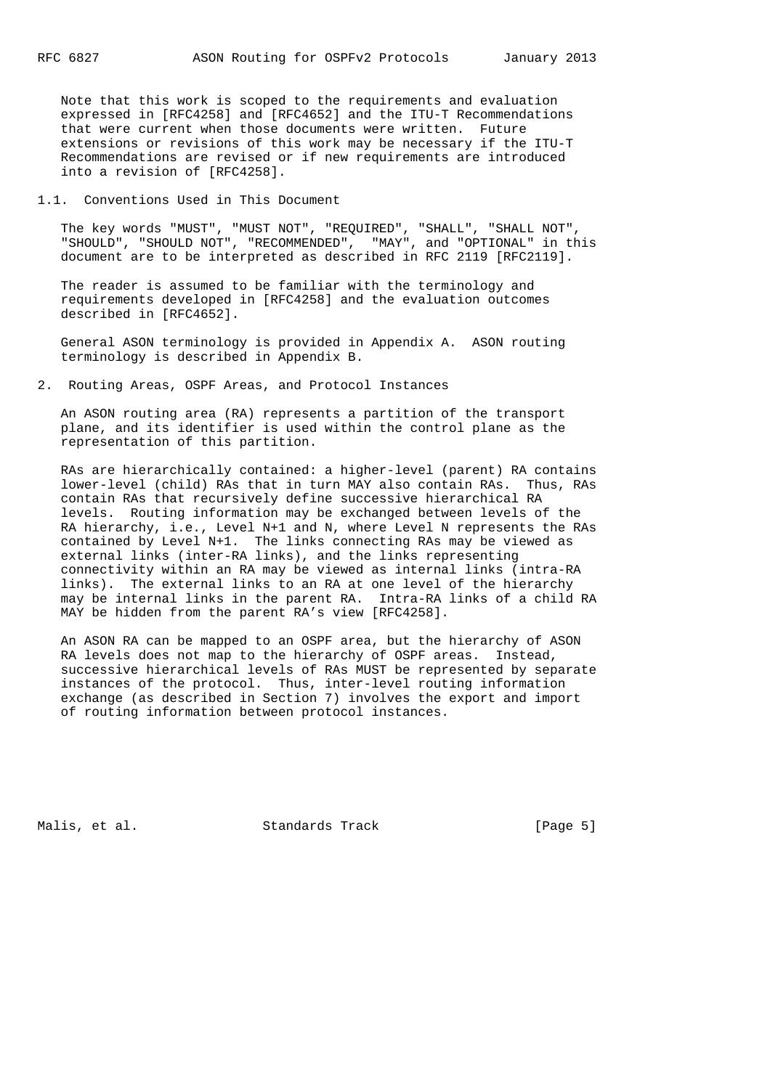Note that this work is scoped to the requirements and evaluation expressed in [RFC4258] and [RFC4652] and the ITU-T Recommendations that were current when those documents were written. Future extensions or revisions of this work may be necessary if the ITU-T Recommendations are revised or if new requirements are introduced into a revision of [RFC4258].

1.1. Conventions Used in This Document

 The key words "MUST", "MUST NOT", "REQUIRED", "SHALL", "SHALL NOT", "SHOULD", "SHOULD NOT", "RECOMMENDED", "MAY", and "OPTIONAL" in this document are to be interpreted as described in RFC 2119 [RFC2119].

 The reader is assumed to be familiar with the terminology and requirements developed in [RFC4258] and the evaluation outcomes described in [RFC4652].

 General ASON terminology is provided in Appendix A. ASON routing terminology is described in Appendix B.

2. Routing Areas, OSPF Areas, and Protocol Instances

 An ASON routing area (RA) represents a partition of the transport plane, and its identifier is used within the control plane as the representation of this partition.

 RAs are hierarchically contained: a higher-level (parent) RA contains lower-level (child) RAs that in turn MAY also contain RAs. Thus, RAs contain RAs that recursively define successive hierarchical RA levels. Routing information may be exchanged between levels of the RA hierarchy, i.e., Level N+1 and N, where Level N represents the RAs contained by Level N+1. The links connecting RAs may be viewed as external links (inter-RA links), and the links representing connectivity within an RA may be viewed as internal links (intra-RA links). The external links to an RA at one level of the hierarchy may be internal links in the parent RA. Intra-RA links of a child RA MAY be hidden from the parent RA's view [RFC4258].

 An ASON RA can be mapped to an OSPF area, but the hierarchy of ASON RA levels does not map to the hierarchy of OSPF areas. Instead, successive hierarchical levels of RAs MUST be represented by separate instances of the protocol. Thus, inter-level routing information exchange (as described in Section 7) involves the export and import of routing information between protocol instances.

Malis, et al. Standards Track [Page 5]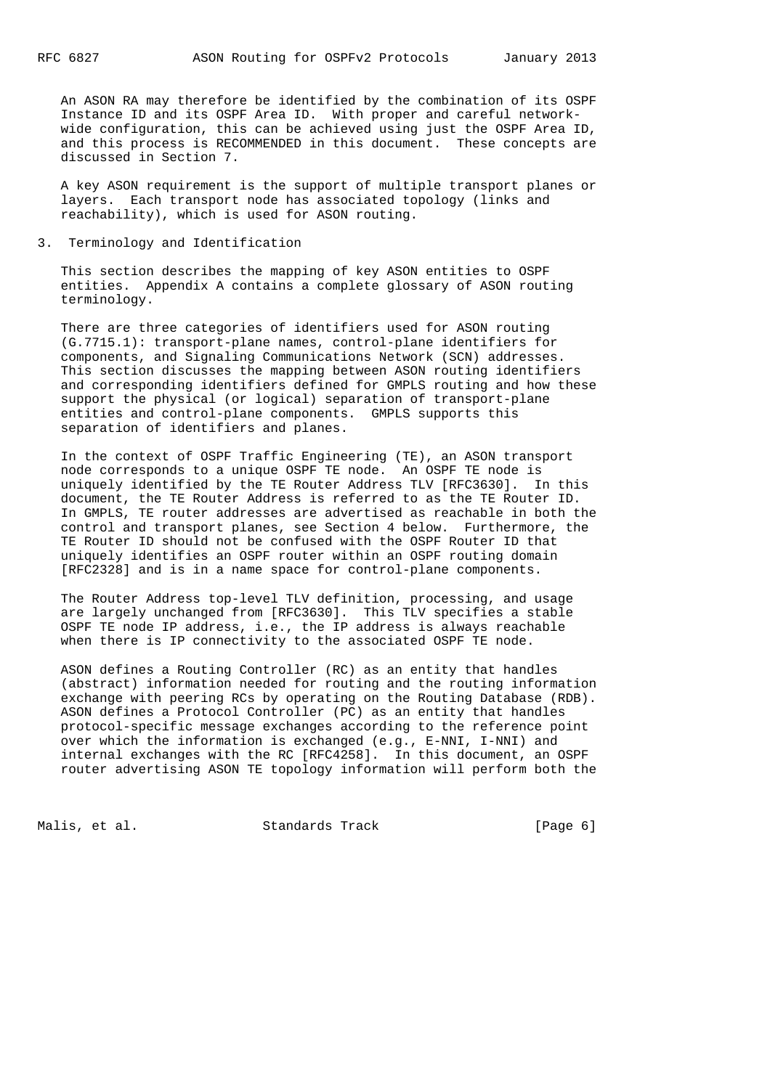An ASON RA may therefore be identified by the combination of its OSPF Instance ID and its OSPF Area ID. With proper and careful network wide configuration, this can be achieved using just the OSPF Area ID, and this process is RECOMMENDED in this document. These concepts are discussed in Section 7.

 A key ASON requirement is the support of multiple transport planes or layers. Each transport node has associated topology (links and reachability), which is used for ASON routing.

### 3. Terminology and Identification

 This section describes the mapping of key ASON entities to OSPF entities. Appendix A contains a complete glossary of ASON routing terminology.

 There are three categories of identifiers used for ASON routing (G.7715.1): transport-plane names, control-plane identifiers for components, and Signaling Communications Network (SCN) addresses. This section discusses the mapping between ASON routing identifiers and corresponding identifiers defined for GMPLS routing and how these support the physical (or logical) separation of transport-plane entities and control-plane components. GMPLS supports this separation of identifiers and planes.

 In the context of OSPF Traffic Engineering (TE), an ASON transport node corresponds to a unique OSPF TE node. An OSPF TE node is uniquely identified by the TE Router Address TLV [RFC3630]. In this document, the TE Router Address is referred to as the TE Router ID. In GMPLS, TE router addresses are advertised as reachable in both the control and transport planes, see Section 4 below. Furthermore, the TE Router ID should not be confused with the OSPF Router ID that uniquely identifies an OSPF router within an OSPF routing domain [RFC2328] and is in a name space for control-plane components.

 The Router Address top-level TLV definition, processing, and usage are largely unchanged from [RFC3630]. This TLV specifies a stable OSPF TE node IP address, i.e., the IP address is always reachable when there is IP connectivity to the associated OSPF TE node.

 ASON defines a Routing Controller (RC) as an entity that handles (abstract) information needed for routing and the routing information exchange with peering RCs by operating on the Routing Database (RDB). ASON defines a Protocol Controller (PC) as an entity that handles protocol-specific message exchanges according to the reference point over which the information is exchanged (e.g., E-NNI, I-NNI) and internal exchanges with the RC [RFC4258]. In this document, an OSPF router advertising ASON TE topology information will perform both the

Malis, et al. Standards Track [Page 6]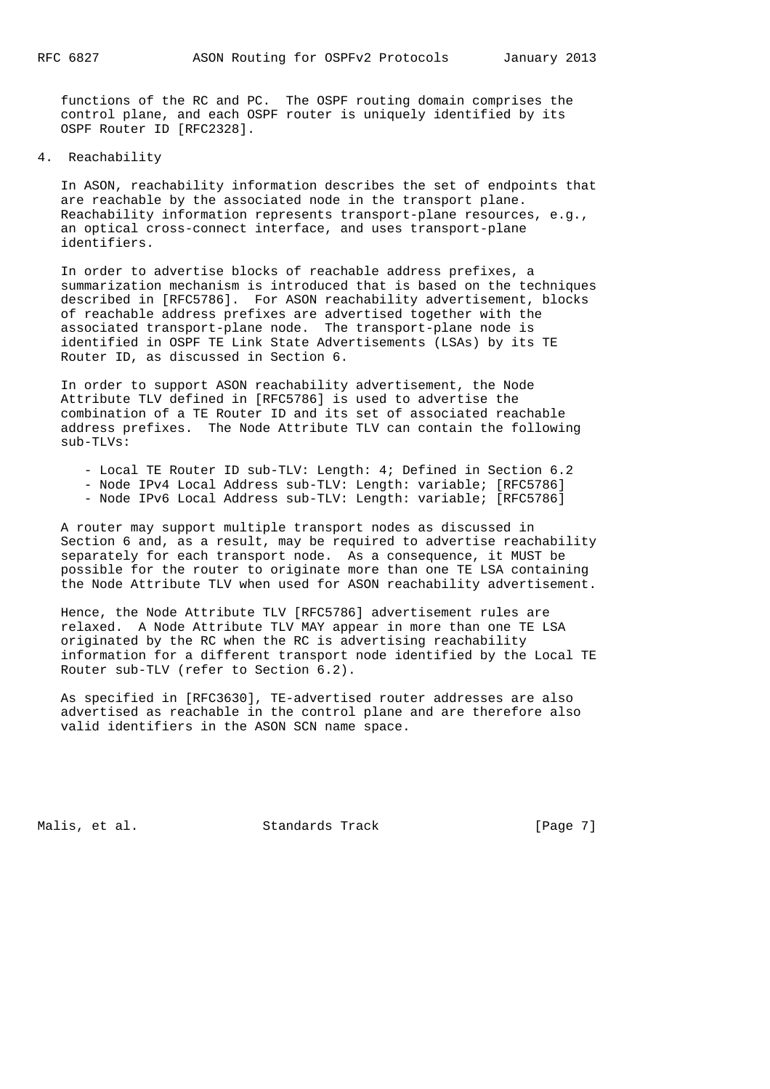functions of the RC and PC. The OSPF routing domain comprises the control plane, and each OSPF router is uniquely identified by its OSPF Router ID [RFC2328].

4. Reachability

 In ASON, reachability information describes the set of endpoints that are reachable by the associated node in the transport plane. Reachability information represents transport-plane resources, e.g., an optical cross-connect interface, and uses transport-plane identifiers.

 In order to advertise blocks of reachable address prefixes, a summarization mechanism is introduced that is based on the techniques described in [RFC5786]. For ASON reachability advertisement, blocks of reachable address prefixes are advertised together with the associated transport-plane node. The transport-plane node is identified in OSPF TE Link State Advertisements (LSAs) by its TE Router ID, as discussed in Section 6.

 In order to support ASON reachability advertisement, the Node Attribute TLV defined in [RFC5786] is used to advertise the combination of a TE Router ID and its set of associated reachable address prefixes. The Node Attribute TLV can contain the following sub-TLVs:

- Local TE Router ID sub-TLV: Length: 4; Defined in Section 6.2
- Node IPv4 Local Address sub-TLV: Length: variable; [RFC5786]
- Node IPv6 Local Address sub-TLV: Length: variable; [RFC5786]

 A router may support multiple transport nodes as discussed in Section 6 and, as a result, may be required to advertise reachability separately for each transport node. As a consequence, it MUST be possible for the router to originate more than one TE LSA containing the Node Attribute TLV when used for ASON reachability advertisement.

 Hence, the Node Attribute TLV [RFC5786] advertisement rules are relaxed. A Node Attribute TLV MAY appear in more than one TE LSA originated by the RC when the RC is advertising reachability information for a different transport node identified by the Local TE Router sub-TLV (refer to Section 6.2).

 As specified in [RFC3630], TE-advertised router addresses are also advertised as reachable in the control plane and are therefore also valid identifiers in the ASON SCN name space.

Malis, et al. Standards Track [Page 7]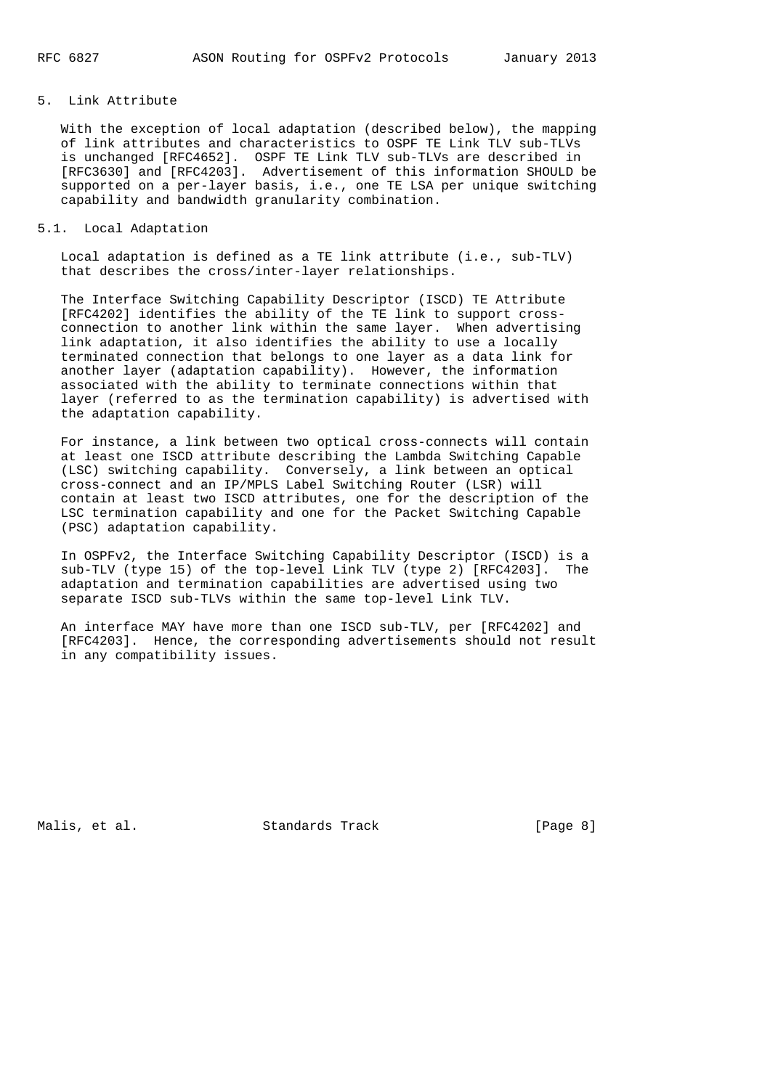### 5. Link Attribute

 With the exception of local adaptation (described below), the mapping of link attributes and characteristics to OSPF TE Link TLV sub-TLVs is unchanged [RFC4652]. OSPF TE Link TLV sub-TLVs are described in [RFC3630] and [RFC4203]. Advertisement of this information SHOULD be supported on a per-layer basis, i.e., one TE LSA per unique switching capability and bandwidth granularity combination.

### 5.1. Local Adaptation

 Local adaptation is defined as a TE link attribute (i.e., sub-TLV) that describes the cross/inter-layer relationships.

 The Interface Switching Capability Descriptor (ISCD) TE Attribute [RFC4202] identifies the ability of the TE link to support cross connection to another link within the same layer. When advertising link adaptation, it also identifies the ability to use a locally terminated connection that belongs to one layer as a data link for another layer (adaptation capability). However, the information associated with the ability to terminate connections within that layer (referred to as the termination capability) is advertised with the adaptation capability.

 For instance, a link between two optical cross-connects will contain at least one ISCD attribute describing the Lambda Switching Capable (LSC) switching capability. Conversely, a link between an optical cross-connect and an IP/MPLS Label Switching Router (LSR) will contain at least two ISCD attributes, one for the description of the LSC termination capability and one for the Packet Switching Capable (PSC) adaptation capability.

 In OSPFv2, the Interface Switching Capability Descriptor (ISCD) is a sub-TLV (type 15) of the top-level Link TLV (type 2) [RFC4203]. The adaptation and termination capabilities are advertised using two separate ISCD sub-TLVs within the same top-level Link TLV.

 An interface MAY have more than one ISCD sub-TLV, per [RFC4202] and [RFC4203]. Hence, the corresponding advertisements should not result in any compatibility issues.

Malis, et al. Standards Track [Page 8]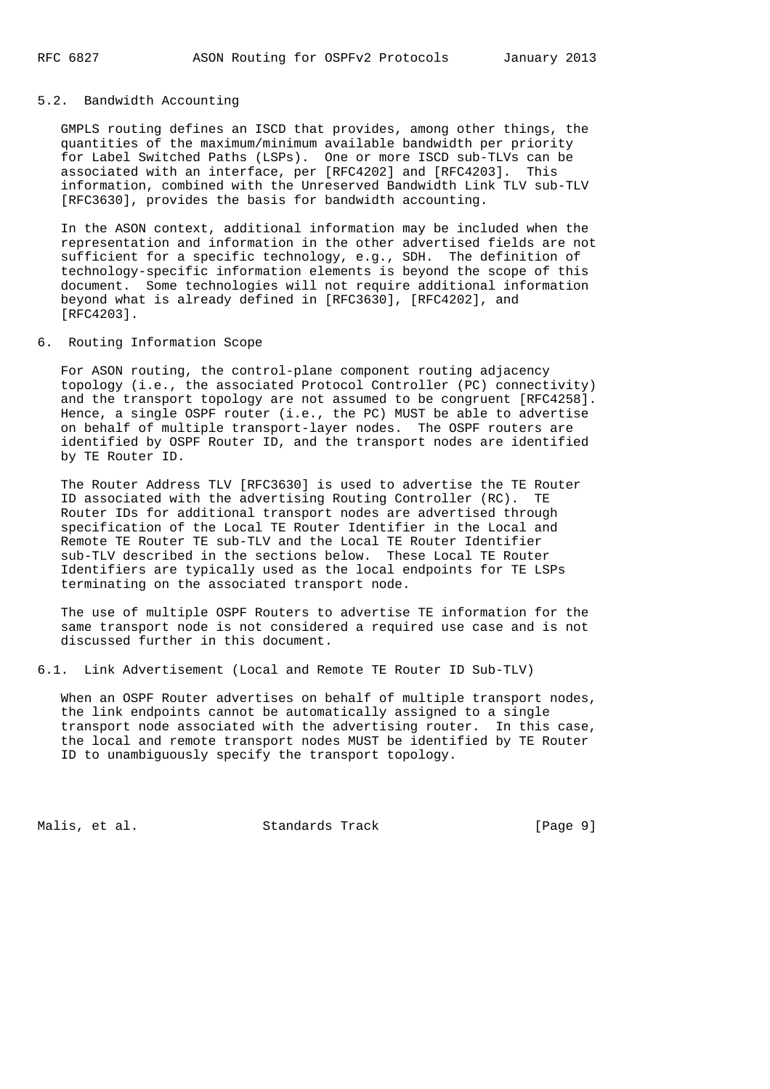## 5.2. Bandwidth Accounting

 GMPLS routing defines an ISCD that provides, among other things, the quantities of the maximum/minimum available bandwidth per priority for Label Switched Paths (LSPs). One or more ISCD sub-TLVs can be associated with an interface, per [RFC4202] and [RFC4203]. This information, combined with the Unreserved Bandwidth Link TLV sub-TLV [RFC3630], provides the basis for bandwidth accounting.

 In the ASON context, additional information may be included when the representation and information in the other advertised fields are not sufficient for a specific technology, e.g., SDH. The definition of technology-specific information elements is beyond the scope of this document. Some technologies will not require additional information beyond what is already defined in [RFC3630], [RFC4202], and [RFC4203].

6. Routing Information Scope

 For ASON routing, the control-plane component routing adjacency topology (i.e., the associated Protocol Controller (PC) connectivity) and the transport topology are not assumed to be congruent [RFC4258]. Hence, a single OSPF router (i.e., the PC) MUST be able to advertise on behalf of multiple transport-layer nodes. The OSPF routers are identified by OSPF Router ID, and the transport nodes are identified by TE Router ID.

 The Router Address TLV [RFC3630] is used to advertise the TE Router ID associated with the advertising Routing Controller (RC). TE Router IDs for additional transport nodes are advertised through specification of the Local TE Router Identifier in the Local and Remote TE Router TE sub-TLV and the Local TE Router Identifier sub-TLV described in the sections below. These Local TE Router Identifiers are typically used as the local endpoints for TE LSPs terminating on the associated transport node.

 The use of multiple OSPF Routers to advertise TE information for the same transport node is not considered a required use case and is not discussed further in this document.

6.1. Link Advertisement (Local and Remote TE Router ID Sub-TLV)

 When an OSPF Router advertises on behalf of multiple transport nodes, the link endpoints cannot be automatically assigned to a single transport node associated with the advertising router. In this case, the local and remote transport nodes MUST be identified by TE Router ID to unambiguously specify the transport topology.

Malis, et al. Standards Track [Page 9]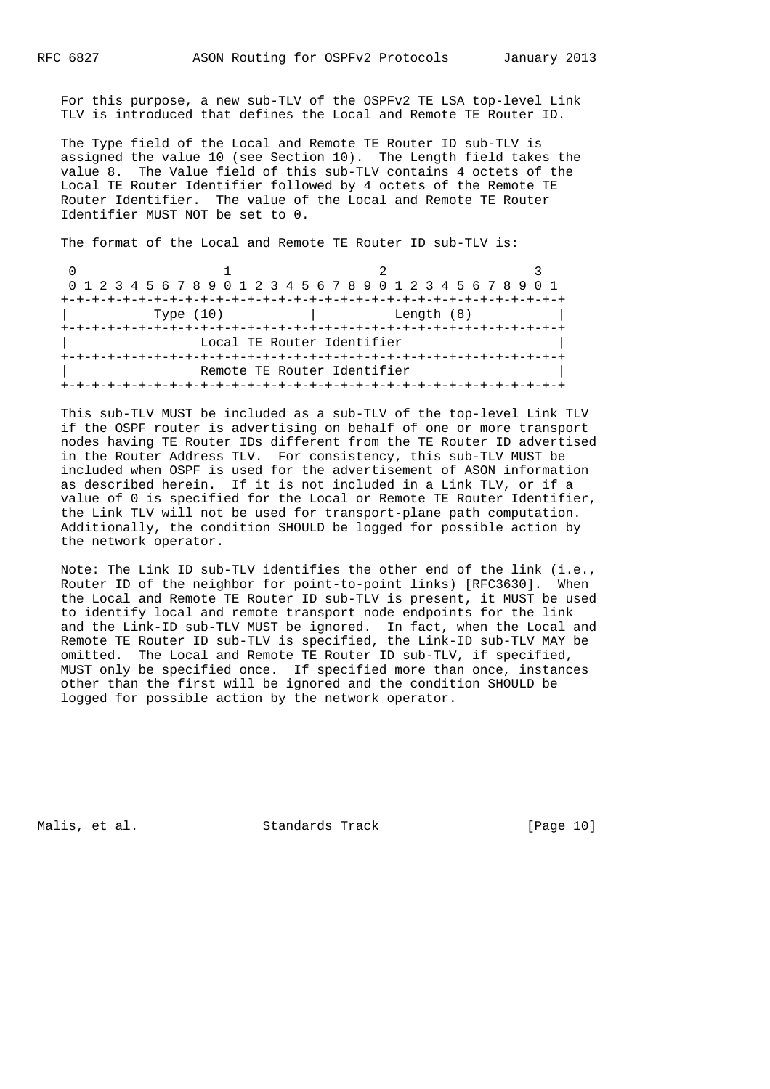For this purpose, a new sub-TLV of the OSPFv2 TE LSA top-level Link TLV is introduced that defines the Local and Remote TE Router ID.

 The Type field of the Local and Remote TE Router ID sub-TLV is assigned the value 10 (see Section 10). The Length field takes the value 8. The Value field of this sub-TLV contains 4 octets of the Local TE Router Identifier followed by 4 octets of the Remote TE Router Identifier. The value of the Local and Remote TE Router Identifier MUST NOT be set to 0.

The format of the Local and Remote TE Router ID sub-TLV is:

| 0 1 2 3 4 5 6 7 8 9 0 1 2 3 4 5 6 7 8 9 0 1 2 3 4 5 6 7 8 9 0 1 |                             |  |
|-----------------------------------------------------------------|-----------------------------|--|
|                                                                 |                             |  |
| Type $(10)$                                                     | Length (8)                  |  |
|                                                                 |                             |  |
|                                                                 | Local TE Router Identifier  |  |
|                                                                 |                             |  |
|                                                                 | Remote TE Router Identifier |  |
|                                                                 |                             |  |

 This sub-TLV MUST be included as a sub-TLV of the top-level Link TLV if the OSPF router is advertising on behalf of one or more transport nodes having TE Router IDs different from the TE Router ID advertised in the Router Address TLV. For consistency, this sub-TLV MUST be included when OSPF is used for the advertisement of ASON information as described herein. If it is not included in a Link TLV, or if a value of 0 is specified for the Local or Remote TE Router Identifier, the Link TLV will not be used for transport-plane path computation. Additionally, the condition SHOULD be logged for possible action by the network operator.

 Note: The Link ID sub-TLV identifies the other end of the link (i.e., Router ID of the neighbor for point-to-point links) [RFC3630]. When the Local and Remote TE Router ID sub-TLV is present, it MUST be used to identify local and remote transport node endpoints for the link and the Link-ID sub-TLV MUST be ignored. In fact, when the Local and Remote TE Router ID sub-TLV is specified, the Link-ID sub-TLV MAY be omitted. The Local and Remote TE Router ID sub-TLV, if specified, MUST only be specified once. If specified more than once, instances other than the first will be ignored and the condition SHOULD be logged for possible action by the network operator.

Malis, et al. Standards Track [Page 10]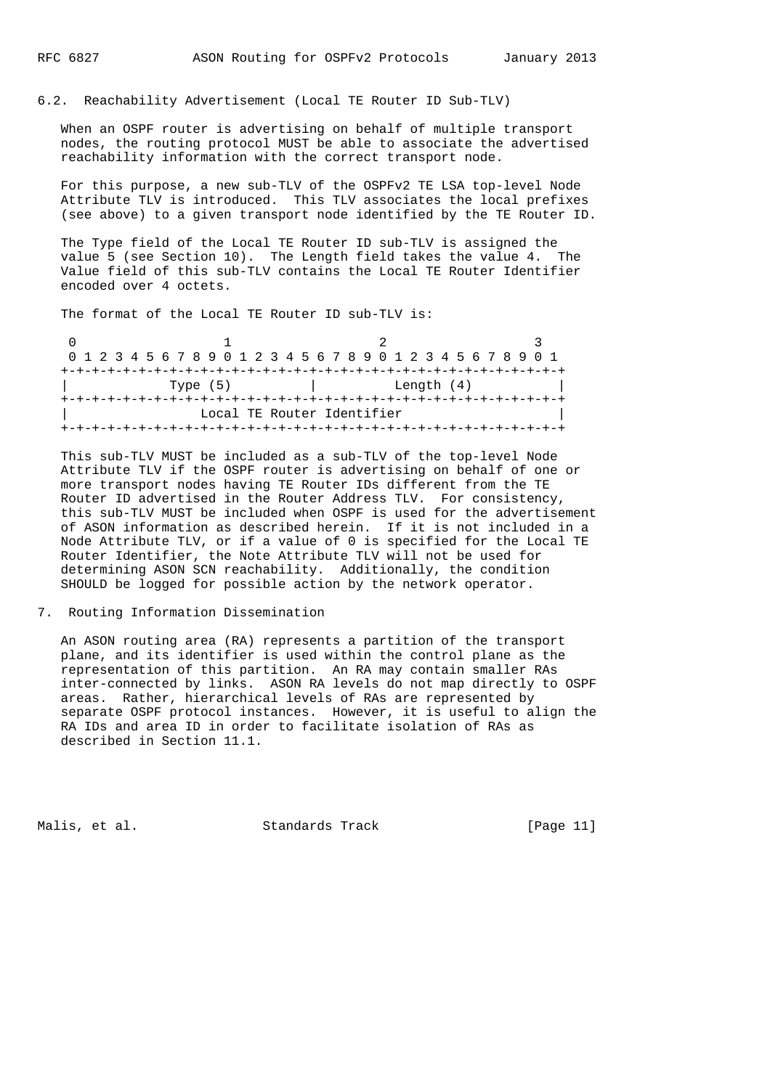### 6.2. Reachability Advertisement (Local TE Router ID Sub-TLV)

 When an OSPF router is advertising on behalf of multiple transport nodes, the routing protocol MUST be able to associate the advertised reachability information with the correct transport node.

 For this purpose, a new sub-TLV of the OSPFv2 TE LSA top-level Node Attribute TLV is introduced. This TLV associates the local prefixes (see above) to a given transport node identified by the TE Router ID.

 The Type field of the Local TE Router ID sub-TLV is assigned the value 5 (see Section 10). The Length field takes the value 4. The Value field of this sub-TLV contains the Local TE Router Identifier encoded over 4 octets.

The format of the Local TE Router ID sub-TLV is:

|  |  |  |  |          |  |  |  |  |                            |  |  |  |  |  |  |  |  |  | 0 1 2 3 4 5 6 7 8 9 0 1 2 3 4 5 6 7 8 9 0 1 2 3 4 5 6 7 8 9 0 1 |  |
|--|--|--|--|----------|--|--|--|--|----------------------------|--|--|--|--|--|--|--|--|--|-----------------------------------------------------------------|--|
|  |  |  |  |          |  |  |  |  |                            |  |  |  |  |  |  |  |  |  |                                                                 |  |
|  |  |  |  | Type (5) |  |  |  |  | Length (4)                 |  |  |  |  |  |  |  |  |  |                                                                 |  |
|  |  |  |  |          |  |  |  |  |                            |  |  |  |  |  |  |  |  |  |                                                                 |  |
|  |  |  |  |          |  |  |  |  | Local TE Router Identifier |  |  |  |  |  |  |  |  |  |                                                                 |  |
|  |  |  |  |          |  |  |  |  |                            |  |  |  |  |  |  |  |  |  |                                                                 |  |

 This sub-TLV MUST be included as a sub-TLV of the top-level Node Attribute TLV if the OSPF router is advertising on behalf of one or more transport nodes having TE Router IDs different from the TE Router ID advertised in the Router Address TLV. For consistency, this sub-TLV MUST be included when OSPF is used for the advertisement of ASON information as described herein. If it is not included in a Node Attribute TLV, or if a value of 0 is specified for the Local TE Router Identifier, the Note Attribute TLV will not be used for determining ASON SCN reachability. Additionally, the condition SHOULD be logged for possible action by the network operator.

#### 7. Routing Information Dissemination

 An ASON routing area (RA) represents a partition of the transport plane, and its identifier is used within the control plane as the representation of this partition. An RA may contain smaller RAs inter-connected by links. ASON RA levels do not map directly to OSPF areas. Rather, hierarchical levels of RAs are represented by separate OSPF protocol instances. However, it is useful to align the RA IDs and area ID in order to facilitate isolation of RAs as described in Section 11.1.

Malis, et al. Standards Track [Page 11]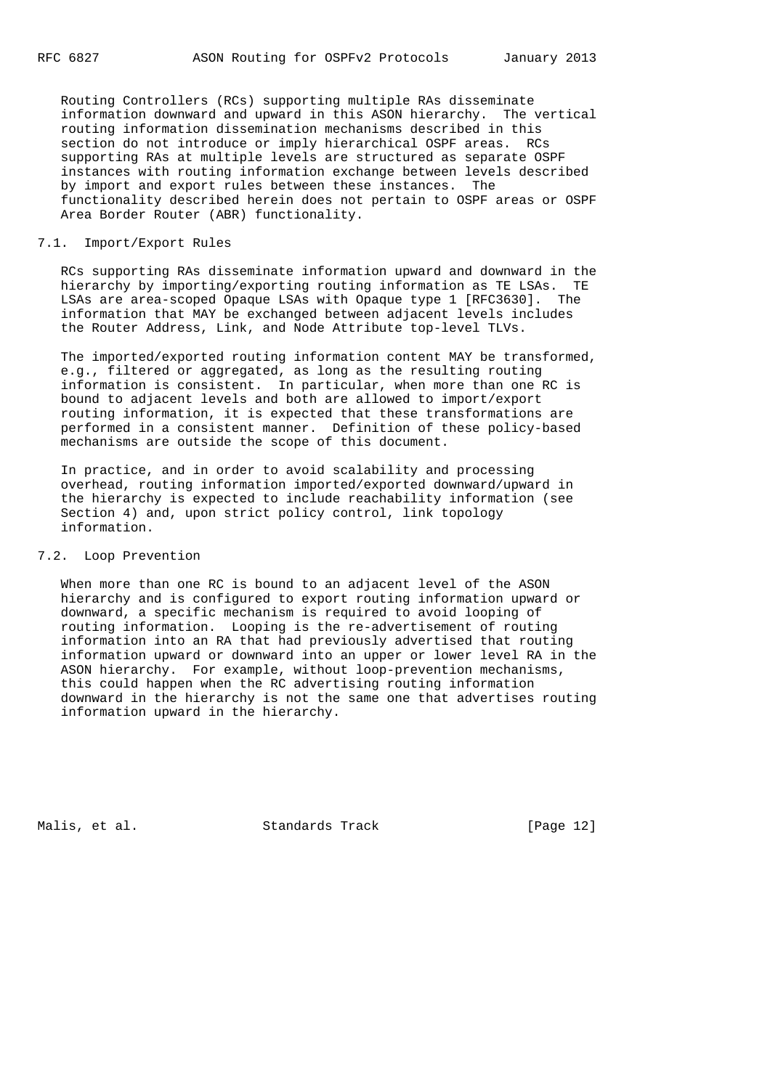Routing Controllers (RCs) supporting multiple RAs disseminate information downward and upward in this ASON hierarchy. The vertical routing information dissemination mechanisms described in this section do not introduce or imply hierarchical OSPF areas. RCs supporting RAs at multiple levels are structured as separate OSPF instances with routing information exchange between levels described by import and export rules between these instances. The functionality described herein does not pertain to OSPF areas or OSPF Area Border Router (ABR) functionality.

### 7.1. Import/Export Rules

 RCs supporting RAs disseminate information upward and downward in the hierarchy by importing/exporting routing information as TE LSAs. TE LSAs are area-scoped Opaque LSAs with Opaque type 1 [RFC3630]. The information that MAY be exchanged between adjacent levels includes the Router Address, Link, and Node Attribute top-level TLVs.

 The imported/exported routing information content MAY be transformed, e.g., filtered or aggregated, as long as the resulting routing information is consistent. In particular, when more than one RC is bound to adjacent levels and both are allowed to import/export routing information, it is expected that these transformations are performed in a consistent manner. Definition of these policy-based mechanisms are outside the scope of this document.

 In practice, and in order to avoid scalability and processing overhead, routing information imported/exported downward/upward in the hierarchy is expected to include reachability information (see Section 4) and, upon strict policy control, link topology information.

### 7.2. Loop Prevention

 When more than one RC is bound to an adjacent level of the ASON hierarchy and is configured to export routing information upward or downward, a specific mechanism is required to avoid looping of routing information. Looping is the re-advertisement of routing information into an RA that had previously advertised that routing information upward or downward into an upper or lower level RA in the ASON hierarchy. For example, without loop-prevention mechanisms, this could happen when the RC advertising routing information downward in the hierarchy is not the same one that advertises routing information upward in the hierarchy.

Malis, et al. Standards Track [Page 12]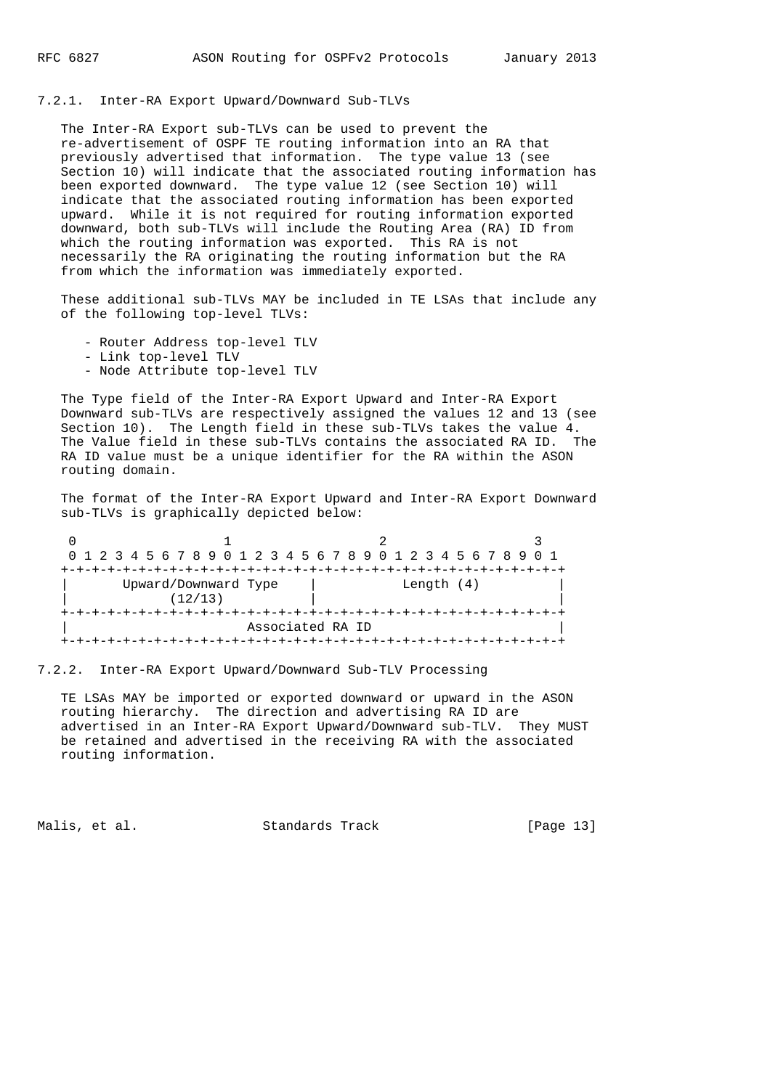### 7.2.1. Inter-RA Export Upward/Downward Sub-TLVs

 The Inter-RA Export sub-TLVs can be used to prevent the re-advertisement of OSPF TE routing information into an RA that previously advertised that information. The type value 13 (see Section 10) will indicate that the associated routing information has been exported downward. The type value 12 (see Section 10) will indicate that the associated routing information has been exported upward. While it is not required for routing information exported downward, both sub-TLVs will include the Routing Area (RA) ID from which the routing information was exported. This RA is not necessarily the RA originating the routing information but the RA from which the information was immediately exported.

 These additional sub-TLVs MAY be included in TE LSAs that include any of the following top-level TLVs:

- Router Address top-level TLV
- Link top-level TLV
- Node Attribute top-level TLV

 The Type field of the Inter-RA Export Upward and Inter-RA Export Downward sub-TLVs are respectively assigned the values 12 and 13 (see Section 10). The Length field in these sub-TLVs takes the value 4. The Value field in these sub-TLVs contains the associated RA ID. The RA ID value must be a unique identifier for the RA within the ASON routing domain.

 The format of the Inter-RA Export Upward and Inter-RA Export Downward sub-TLVs is graphically depicted below:

|                                 | 0 1 2 3 4 5 6 7 8 9 0 1 2 3 4 5 6 7 8 9 0 1 2 3 4 5 6 7 8 9 0 1 |  |  |  |  |  |  |  |  |  |  |
|---------------------------------|-----------------------------------------------------------------|--|--|--|--|--|--|--|--|--|--|
|                                 |                                                                 |  |  |  |  |  |  |  |  |  |  |
| Upward/Downward Type<br>(12/13) | Length $(4)$                                                    |  |  |  |  |  |  |  |  |  |  |
|                                 |                                                                 |  |  |  |  |  |  |  |  |  |  |
| Associated RA ID                |                                                                 |  |  |  |  |  |  |  |  |  |  |
|                                 |                                                                 |  |  |  |  |  |  |  |  |  |  |

7.2.2. Inter-RA Export Upward/Downward Sub-TLV Processing

 TE LSAs MAY be imported or exported downward or upward in the ASON routing hierarchy. The direction and advertising RA ID are advertised in an Inter-RA Export Upward/Downward sub-TLV. They MUST be retained and advertised in the receiving RA with the associated routing information.

Malis, et al. Standards Track [Page 13]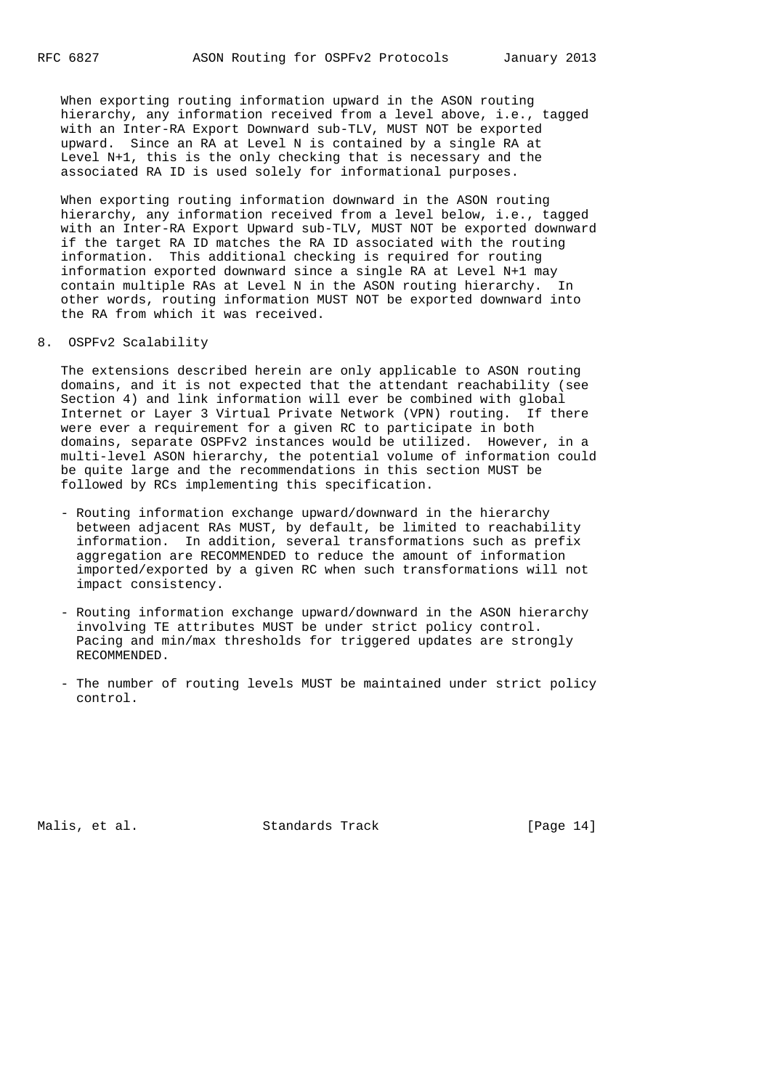When exporting routing information upward in the ASON routing hierarchy, any information received from a level above, i.e., tagged with an Inter-RA Export Downward sub-TLV, MUST NOT be exported upward. Since an RA at Level N is contained by a single RA at Level N+1, this is the only checking that is necessary and the associated RA ID is used solely for informational purposes.

 When exporting routing information downward in the ASON routing hierarchy, any information received from a level below, i.e., tagged with an Inter-RA Export Upward sub-TLV, MUST NOT be exported downward if the target RA ID matches the RA ID associated with the routing information. This additional checking is required for routing information exported downward since a single RA at Level N+1 may contain multiple RAs at Level N in the ASON routing hierarchy. In other words, routing information MUST NOT be exported downward into the RA from which it was received.

### 8. OSPFv2 Scalability

 The extensions described herein are only applicable to ASON routing domains, and it is not expected that the attendant reachability (see Section 4) and link information will ever be combined with global Internet or Layer 3 Virtual Private Network (VPN) routing. If there were ever a requirement for a given RC to participate in both domains, separate OSPFv2 instances would be utilized. However, in a multi-level ASON hierarchy, the potential volume of information could be quite large and the recommendations in this section MUST be followed by RCs implementing this specification.

- Routing information exchange upward/downward in the hierarchy between adjacent RAs MUST, by default, be limited to reachability information. In addition, several transformations such as prefix aggregation are RECOMMENDED to reduce the amount of information imported/exported by a given RC when such transformations will not impact consistency.
- Routing information exchange upward/downward in the ASON hierarchy involving TE attributes MUST be under strict policy control. Pacing and min/max thresholds for triggered updates are strongly RECOMMENDED.
- The number of routing levels MUST be maintained under strict policy control.

Malis, et al. Standards Track [Page 14]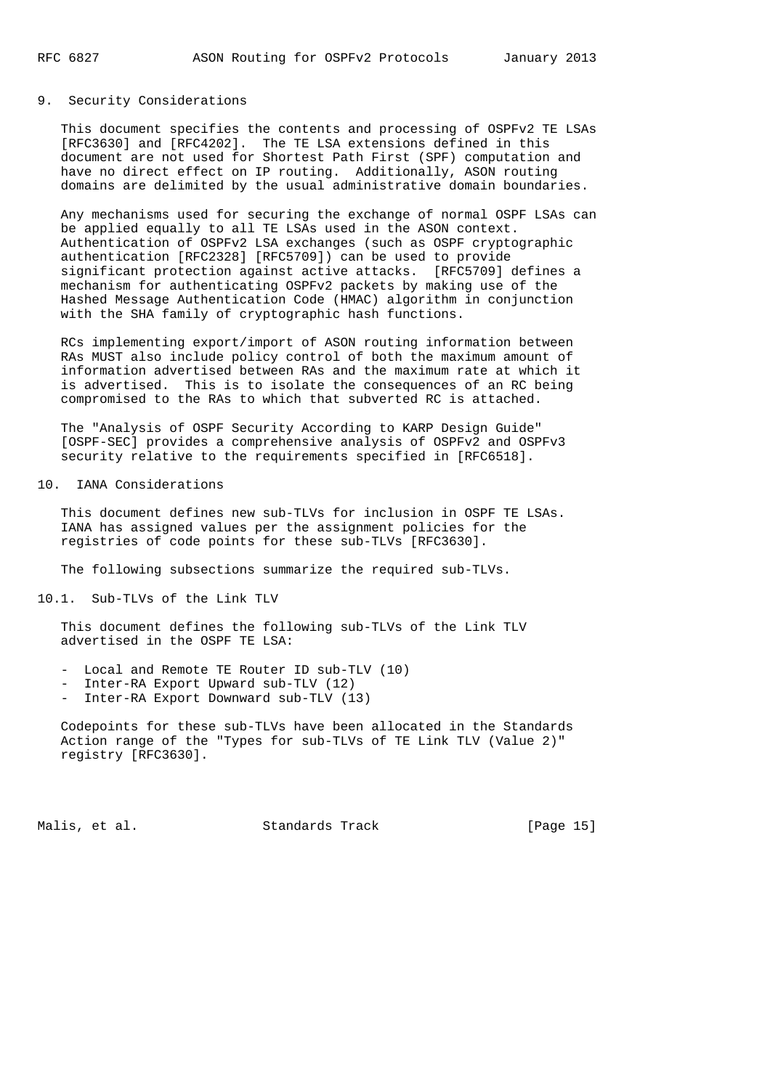## 9. Security Considerations

 This document specifies the contents and processing of OSPFv2 TE LSAs [RFC3630] and [RFC4202]. The TE LSA extensions defined in this document are not used for Shortest Path First (SPF) computation and have no direct effect on IP routing. Additionally, ASON routing domains are delimited by the usual administrative domain boundaries.

 Any mechanisms used for securing the exchange of normal OSPF LSAs can be applied equally to all TE LSAs used in the ASON context. Authentication of OSPFv2 LSA exchanges (such as OSPF cryptographic authentication [RFC2328] [RFC5709]) can be used to provide significant protection against active attacks. [RFC5709] defines a mechanism for authenticating OSPFv2 packets by making use of the Hashed Message Authentication Code (HMAC) algorithm in conjunction with the SHA family of cryptographic hash functions.

 RCs implementing export/import of ASON routing information between RAs MUST also include policy control of both the maximum amount of information advertised between RAs and the maximum rate at which it is advertised. This is to isolate the consequences of an RC being compromised to the RAs to which that subverted RC is attached.

 The "Analysis of OSPF Security According to KARP Design Guide" [OSPF-SEC] provides a comprehensive analysis of OSPFv2 and OSPFv3 security relative to the requirements specified in [RFC6518].

10. IANA Considerations

 This document defines new sub-TLVs for inclusion in OSPF TE LSAs. IANA has assigned values per the assignment policies for the registries of code points for these sub-TLVs [RFC3630].

The following subsections summarize the required sub-TLVs.

10.1. Sub-TLVs of the Link TLV

 This document defines the following sub-TLVs of the Link TLV advertised in the OSPF TE LSA:

- Local and Remote TE Router ID sub-TLV (10)
- Inter-RA Export Upward sub-TLV (12)
- Inter-RA Export Downward sub-TLV (13)

 Codepoints for these sub-TLVs have been allocated in the Standards Action range of the "Types for sub-TLVs of TE Link TLV (Value 2)" registry [RFC3630].

Malis, et al. Standards Track [Page 15]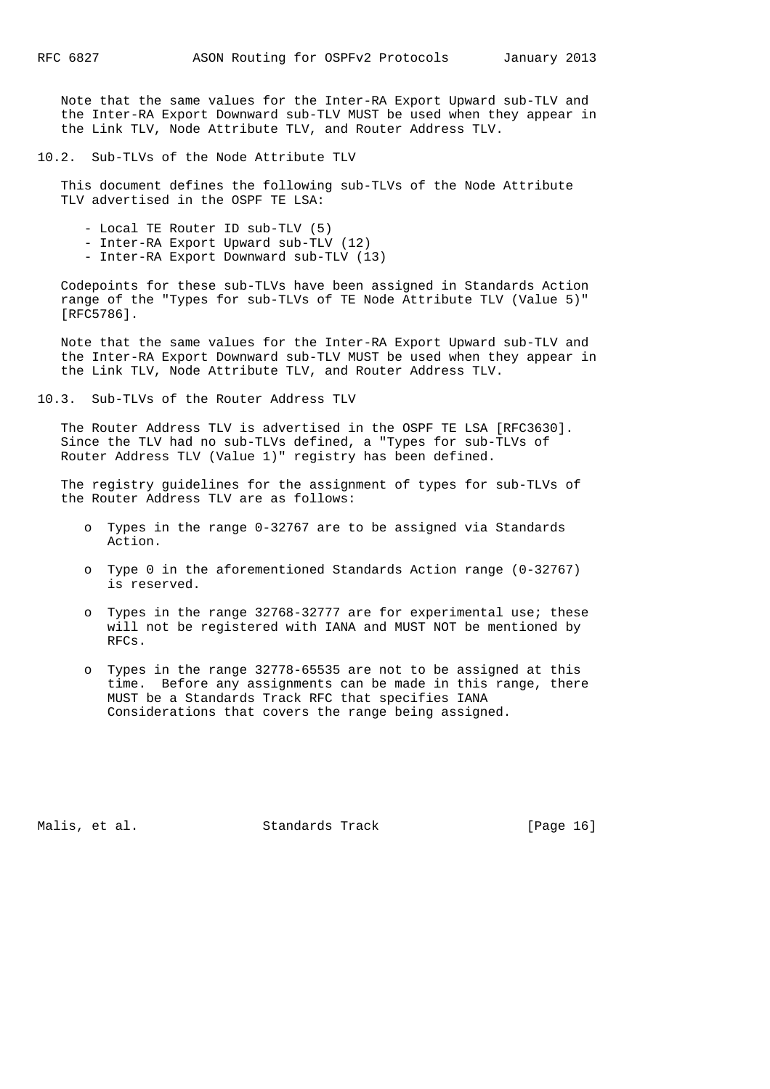Note that the same values for the Inter-RA Export Upward sub-TLV and the Inter-RA Export Downward sub-TLV MUST be used when they appear in the Link TLV, Node Attribute TLV, and Router Address TLV.

10.2. Sub-TLVs of the Node Attribute TLV

 This document defines the following sub-TLVs of the Node Attribute TLV advertised in the OSPF TE LSA:

- Local TE Router ID sub-TLV (5)
- Inter-RA Export Upward sub-TLV (12)
- Inter-RA Export Downward sub-TLV (13)

 Codepoints for these sub-TLVs have been assigned in Standards Action range of the "Types for sub-TLVs of TE Node Attribute TLV (Value 5)" [RFC5786].

 Note that the same values for the Inter-RA Export Upward sub-TLV and the Inter-RA Export Downward sub-TLV MUST be used when they appear in the Link TLV, Node Attribute TLV, and Router Address TLV.

10.3. Sub-TLVs of the Router Address TLV

 The Router Address TLV is advertised in the OSPF TE LSA [RFC3630]. Since the TLV had no sub-TLVs defined, a "Types for sub-TLVs of Router Address TLV (Value 1)" registry has been defined.

 The registry guidelines for the assignment of types for sub-TLVs of the Router Address TLV are as follows:

- o Types in the range 0-32767 are to be assigned via Standards Action.
- o Type 0 in the aforementioned Standards Action range (0-32767) is reserved.
- o Types in the range 32768-32777 are for experimental use; these will not be registered with IANA and MUST NOT be mentioned by RFCs.
- o Types in the range 32778-65535 are not to be assigned at this time. Before any assignments can be made in this range, there MUST be a Standards Track RFC that specifies IANA Considerations that covers the range being assigned.

Malis, et al. Standards Track [Page 16]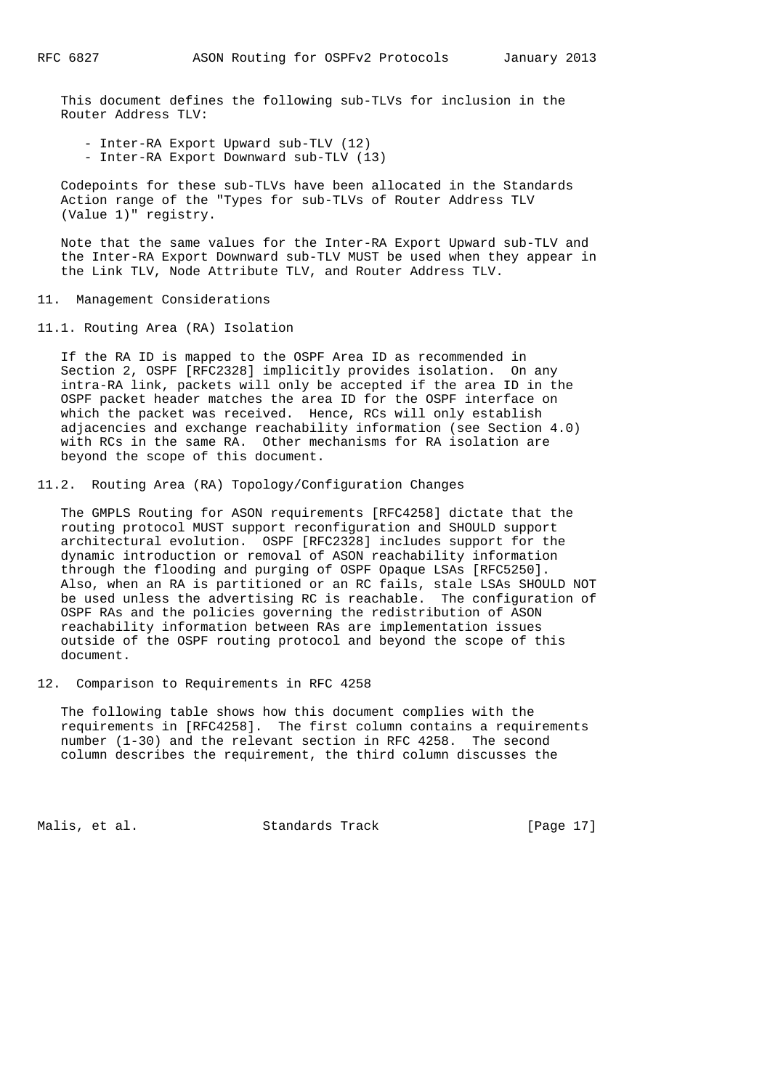This document defines the following sub-TLVs for inclusion in the Router Address TLV:

- Inter-RA Export Upward sub-TLV (12)
- Inter-RA Export Downward sub-TLV (13)

 Codepoints for these sub-TLVs have been allocated in the Standards Action range of the "Types for sub-TLVs of Router Address TLV (Value 1)" registry.

 Note that the same values for the Inter-RA Export Upward sub-TLV and the Inter-RA Export Downward sub-TLV MUST be used when they appear in the Link TLV, Node Attribute TLV, and Router Address TLV.

11. Management Considerations

11.1. Routing Area (RA) Isolation

 If the RA ID is mapped to the OSPF Area ID as recommended in Section 2, OSPF [RFC2328] implicitly provides isolation. On any intra-RA link, packets will only be accepted if the area ID in the OSPF packet header matches the area ID for the OSPF interface on which the packet was received. Hence, RCs will only establish adjacencies and exchange reachability information (see Section 4.0) with RCs in the same RA. Other mechanisms for RA isolation are beyond the scope of this document.

11.2. Routing Area (RA) Topology/Configuration Changes

 The GMPLS Routing for ASON requirements [RFC4258] dictate that the routing protocol MUST support reconfiguration and SHOULD support architectural evolution. OSPF [RFC2328] includes support for the dynamic introduction or removal of ASON reachability information through the flooding and purging of OSPF Opaque LSAs [RFC5250]. Also, when an RA is partitioned or an RC fails, stale LSAs SHOULD NOT be used unless the advertising RC is reachable. The configuration of OSPF RAs and the policies governing the redistribution of ASON reachability information between RAs are implementation issues outside of the OSPF routing protocol and beyond the scope of this document.

12. Comparison to Requirements in RFC 4258

 The following table shows how this document complies with the requirements in [RFC4258]. The first column contains a requirements number (1-30) and the relevant section in RFC 4258. The second column describes the requirement, the third column discusses the

Malis, et al. Standards Track [Page 17]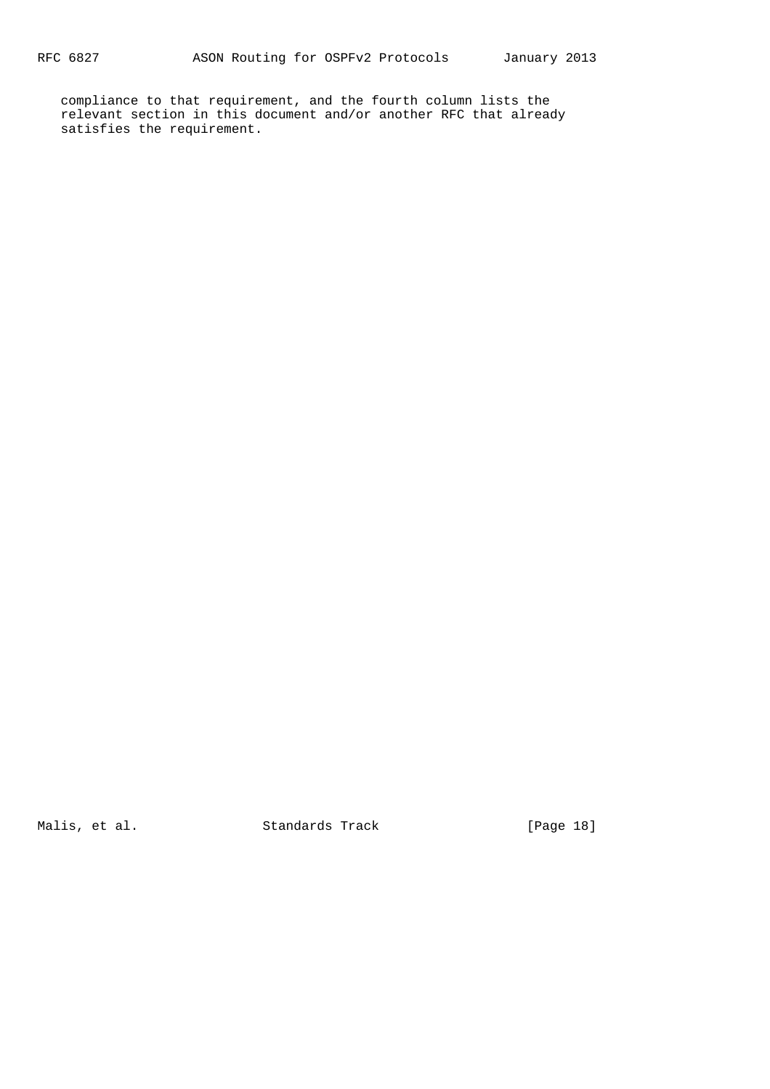compliance to that requirement, and the fourth column lists the relevant section in this document and/or another RFC that already satisfies the requirement.

Malis, et al. Standards Track [Page 18]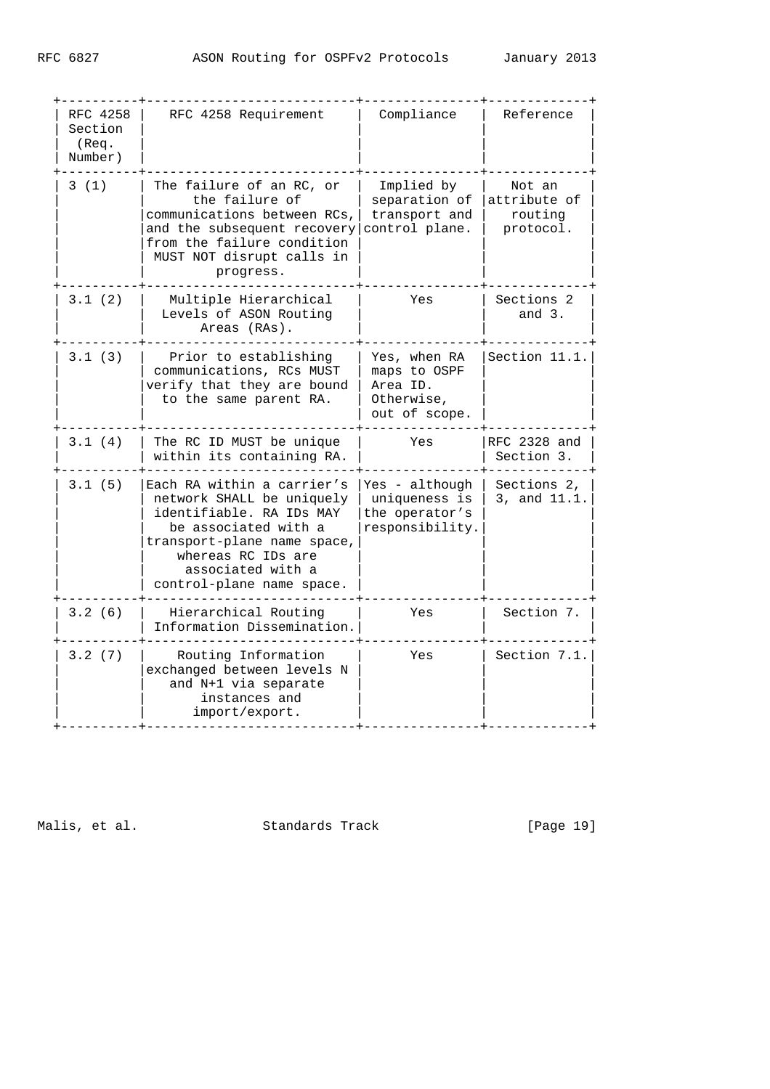| RFC 4258<br>Section<br>(Req.<br>Number) | RFC 4258 Requirement                                                                                                                                                                                               | Compliance                                                              | Reference                                      |
|-----------------------------------------|--------------------------------------------------------------------------------------------------------------------------------------------------------------------------------------------------------------------|-------------------------------------------------------------------------|------------------------------------------------|
| 3(1)                                    | The failure of an RC, or<br>the failure of<br>communications between RCs,<br>and the subsequent recovery<br>from the failure condition<br>MUST NOT disrupt calls in<br>progress.                                   | Implied by<br>separation of<br>transport and<br>control plane.          | Not an<br>attribute of<br>routing<br>protocol. |
| 3.1(2)                                  | Multiple Hierarchical<br>Levels of ASON Routing<br>Areas (RAs).                                                                                                                                                    | Yes                                                                     | Sections 2<br>and $3$ .                        |
| 3.1(3)                                  | Prior to establishing<br>communications, RCs MUST<br>verify that they are bound<br>to the same parent RA.                                                                                                          | Yes, when RA<br>maps to OSPF<br>Area ID.<br>Otherwise,<br>out of scope. | Section 11.1.                                  |
| 3.1(4)                                  | The RC ID MUST be unique<br>within its containing RA.                                                                                                                                                              | Yes                                                                     | RFC 2328 and<br>Section 3.                     |
| 3.1(5)                                  | Each RA within a carrier's<br>network SHALL be uniquely<br>identifiable. RA IDs MAY<br>be associated with a<br>transport-plane name space,<br>whereas RC IDs are<br>associated with a<br>control-plane name space. | Yes - although<br>uniqueness is<br>the operator's<br>responsibility.    | Sections 2,<br>3, and 11.1.                    |
| 3.2(6)                                  | Hierarchical Routing<br>Information Dissemination.                                                                                                                                                                 | Yes                                                                     | Section 7.                                     |
| 3.2(7)                                  | Routing Information<br>exchanged between levels N<br>and N+1 via separate<br>instances and<br>import/export.                                                                                                       | Yes                                                                     | Section 7.1.                                   |

Malis, et al. Standards Track [Page 19]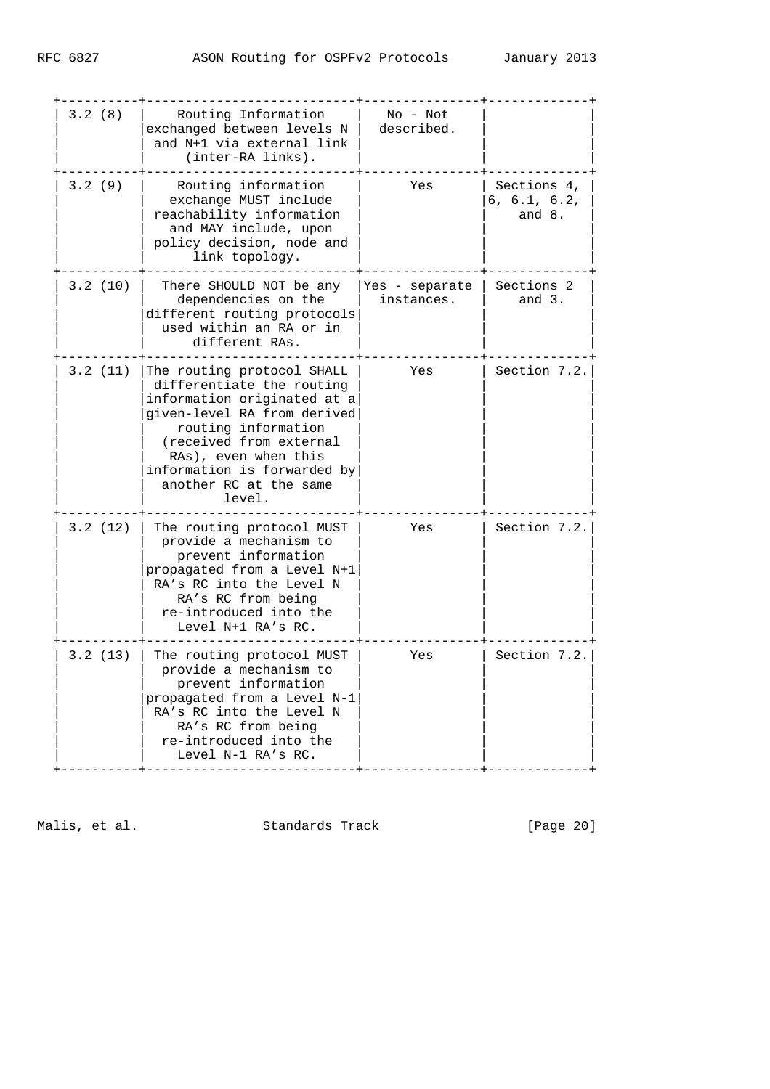| 3.2(8)  | Routing Information<br>exchanged between levels N<br>and N+1 via external link<br>(inter-RA links).                                                                                                                                                                | $No - Not$<br>described.     |                                         |
|---------|--------------------------------------------------------------------------------------------------------------------------------------------------------------------------------------------------------------------------------------------------------------------|------------------------------|-----------------------------------------|
| 3.2(9)  | Routing information<br>exchange MUST include<br>reachability information<br>and MAY include, upon<br>policy decision, node and<br>link topology.                                                                                                                   | Yes                          | Sections 4.<br>6, 6.1, 6.2,<br>and $8.$ |
| 3.2(10) | There SHOULD NOT be any<br>dependencies on the<br>different routing protocols<br>used within an RA or in<br>different RAs.                                                                                                                                         | Yes - separate<br>instances. | Sections 2<br>and $3$ .                 |
| 3.2(11) | The routing protocol SHALL<br>differentiate the routing<br>information originated at a<br>given-level RA from derived<br>routing information<br>(received from external<br>RAs), even when this<br>information is forwarded by<br>another RC at the same<br>level. | Yes                          | Section 7.2.                            |
| 3.2(12) | The routing protocol MUST<br>provide a mechanism to<br>prevent information<br>propagated from a Level N+1<br>RA's RC into the Level N<br>RA's RC from being<br>re-introduced into the<br>Level N+1 RA's RC.                                                        | Yes                          | Section 7.2.                            |
| 3.2(13) | The routing protocol MUST<br>provide a mechanism to<br>prevent information<br>propagated from a Level N-1<br>RA's RC into the Level N<br>RA's RC from being<br>re-introduced into the<br>Level N-1 RA's RC.                                                        | Yes                          | Section 7.2.                            |

Malis, et al. Standards Track [Page 20]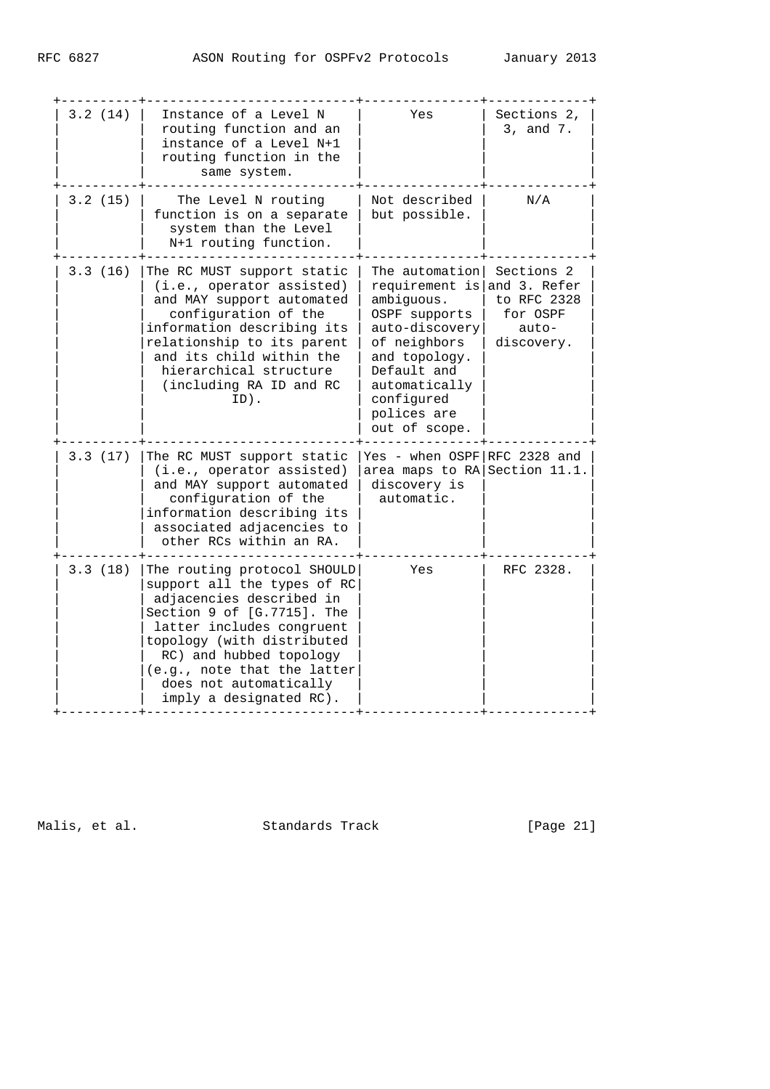| 3.2(14) | Instance of a Level N<br>routing function and an<br>instance of a Level N+1<br>routing function in the<br>same system.                                                                                                                                                                         | Yes                                                                                                                                                                                                                       | Sections 2,<br>3, and 7.                         |
|---------|------------------------------------------------------------------------------------------------------------------------------------------------------------------------------------------------------------------------------------------------------------------------------------------------|---------------------------------------------------------------------------------------------------------------------------------------------------------------------------------------------------------------------------|--------------------------------------------------|
| 3.2(15) | The Level N routing<br>function is on a separate<br>system than the Level<br>N+1 routing function.                                                                                                                                                                                             | Not described<br>but possible.                                                                                                                                                                                            | N/A                                              |
| 3.3(16) | The RC MUST support static<br>(i.e., operator assisted)<br>and MAY support automated<br>configuration of the<br>information describing its<br>relationship to its parent<br>and its child within the<br>hierarchical structure<br>(including RA ID and RC<br>ID).                              | The automation  Sections 2<br>requirement is and 3. Refer<br>ambiguous.<br>OSPF supports<br>auto-discovery<br>of neighbors<br>and topology.<br>Default and<br>automatically<br>configured<br>polices are<br>out of scope. | to RFC 2328<br>for OSPF<br>$auto-$<br>discovery. |
| 3.3(17) | The RC MUST support static<br>(i.e., operator assisted)<br>and MAY support automated<br>configuration of the<br>information describing its<br>associated adjacencies to<br>other RCs within an RA.                                                                                             | Yes - when OSPF RFC 2328 and<br>area maps to RA Section 11.1.<br>discovery is<br>automatic.                                                                                                                               |                                                  |
| 3.3(18) | The routing protocol SHOULD<br>support all the types of RC<br>adjacencies described in<br>Section 9 of [G.7715]. The<br>latter includes congruent<br>topology (with distributed<br>RC) and hubbed topology<br>(e.g., note that the latter<br>does not automatically<br>imply a designated RC). | Yes                                                                                                                                                                                                                       | RFC 2328.                                        |

Malis, et al. Standards Track [Page 21]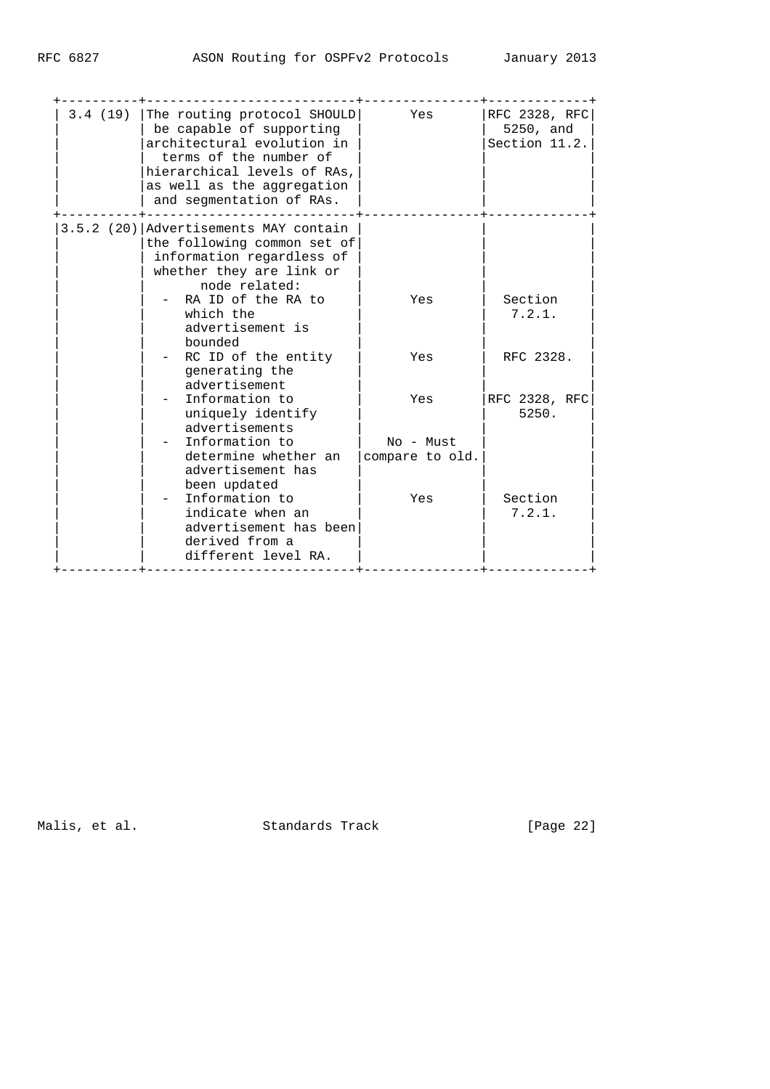| 3.4 (19) The routing protocol SHOULD<br>be capable of supporting<br>architectural evolution in<br>terms of the number of<br>hierarchical levels of RAs,<br>as well as the aggregation<br>and segmentation of RAs. | Yes                          | RFC 2328, RFC<br>5250, and<br>Section 11.2. |
|-------------------------------------------------------------------------------------------------------------------------------------------------------------------------------------------------------------------|------------------------------|---------------------------------------------|
| 3.5.2 (20) Advertisements MAY contain<br>the following common set of<br>information regardless of<br>whether they are link or<br>node related:<br>RA ID of the RA to<br>which the                                 | Yes                          | Section<br>7.2.1.                           |
| advertisement is<br>bounded<br>RC ID of the entity<br>generating the<br>advertisement                                                                                                                             | Yes                          | RFC 2328.                                   |
| Information to<br>uniquely identify<br>advertisements                                                                                                                                                             | Yes                          | RFC 2328, RFC<br>5250.                      |
| Information to<br>determine whether an<br>advertisement has                                                                                                                                                       | No - Must<br>compare to old. |                                             |
| been updated<br>Information to<br>indicate when an<br>advertisement has been<br>derived from a<br>different level RA.                                                                                             | Yes                          | Section<br>7.2.1.                           |

Malis, et al. Standards Track [Page 22]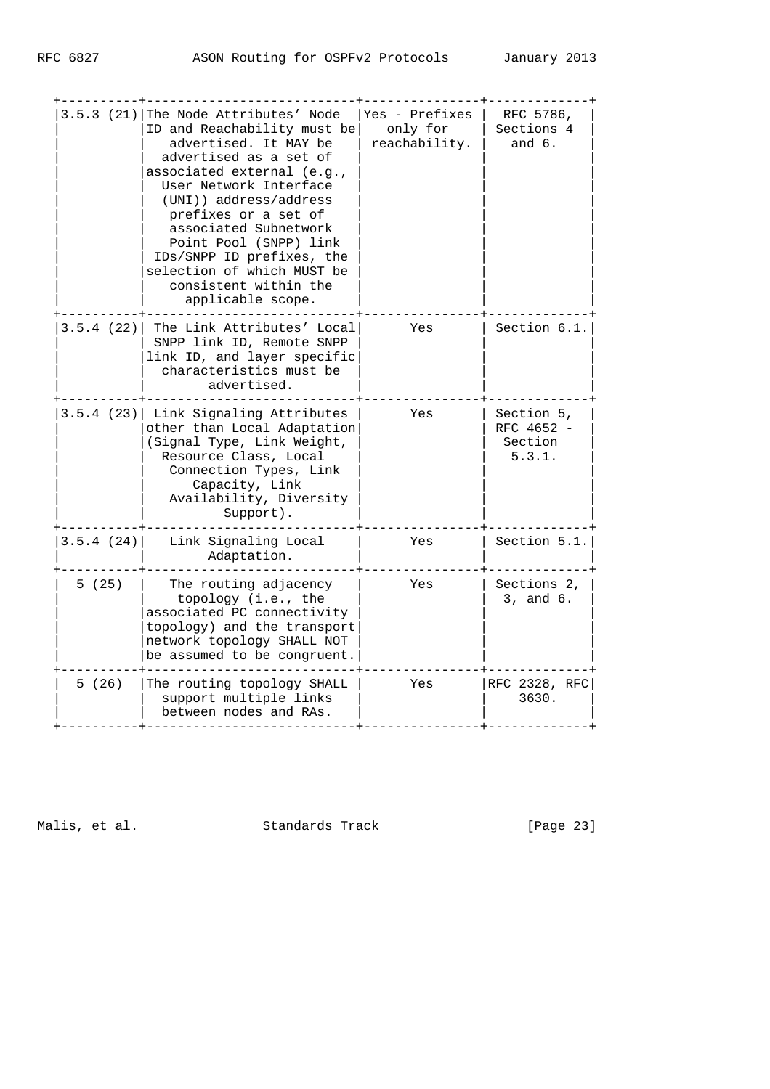|            | 3.5.3 (21) The Node Attributes' Node<br>ID and Reachability must be<br>advertised. It MAY be<br>advertised as a set of<br>associated external (e.g.,<br>User Network Interface<br>(UNI)) address/address<br>prefixes or a set of<br>associated Subnetwork<br>Point Pool (SNPP) link<br>IDs/SNPP ID prefixes, the<br>selection of which MUST be<br>consistent within the<br>applicable scope. | Yes - Prefixes<br>only for<br>reachability. | RFC 5786,<br>Sections 4<br>and $6.$           |
|------------|----------------------------------------------------------------------------------------------------------------------------------------------------------------------------------------------------------------------------------------------------------------------------------------------------------------------------------------------------------------------------------------------|---------------------------------------------|-----------------------------------------------|
| 3.5.4 (22) | The Link Attributes' Local<br>SNPP link ID, Remote SNPP<br>link ID, and layer specific<br>characteristics must be<br>advertised.                                                                                                                                                                                                                                                             | Yes                                         | Section 6.1.                                  |
|            | 3.5.4 (23) Link Signaling Attributes<br>other than Local Adaptation<br>(Signal Type, Link Weight,<br>Resource Class, Local<br>Connection Types, Link<br>Capacity, Link<br>Availability, Diversity<br>Support).                                                                                                                                                                               | Yes                                         | Section 5,<br>RFC 4652 -<br>Section<br>5.3.1. |
| 3.5.4(24)  | Link Signaling Local<br>Adaptation.                                                                                                                                                                                                                                                                                                                                                          | Yes                                         | Section 5.1.                                  |
| 5(25)      | The routing adjacency<br>topology (i.e., the<br>associated PC connectivity<br>topology) and the transport<br>network topology SHALL NOT<br>be assumed to be congruent.                                                                                                                                                                                                                       | Yes                                         | Sections 2,<br>3, and 6.                      |
| 5(26)      | The routing topology SHALL<br>support multiple links<br>between nodes and RAs.                                                                                                                                                                                                                                                                                                               | Yes                                         | RFC 2328, RFC<br>3630.                        |
|            |                                                                                                                                                                                                                                                                                                                                                                                              |                                             |                                               |

Malis, et al. Standards Track [Page 23]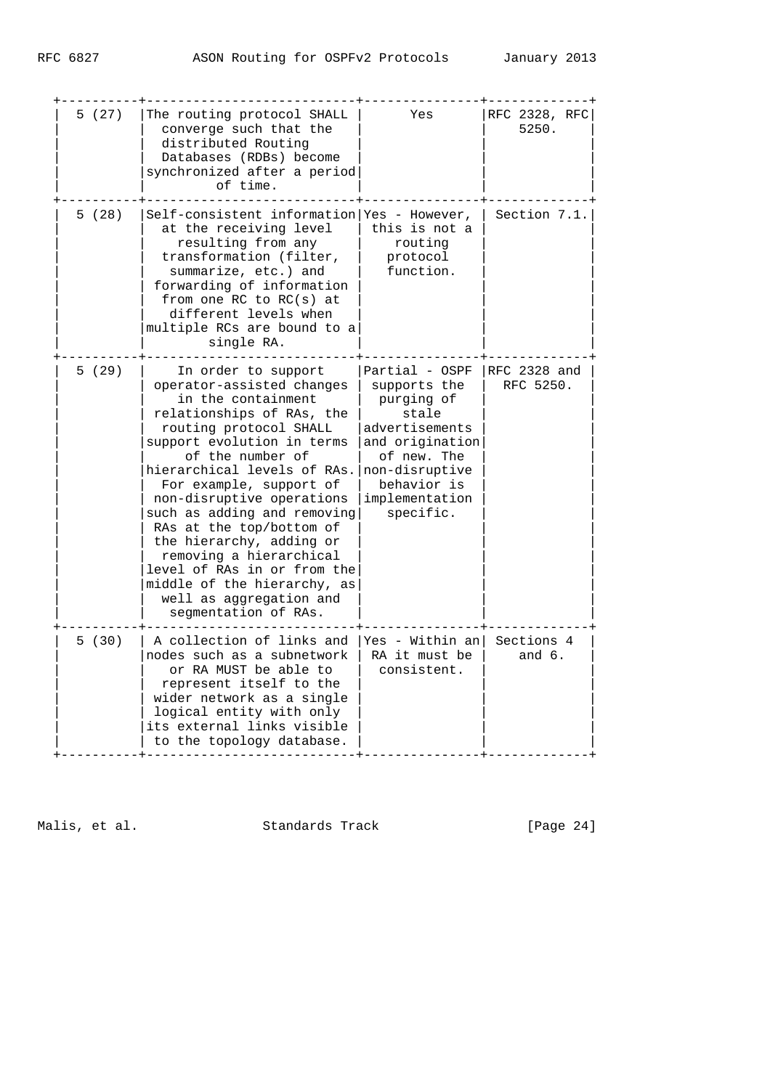| 5(27) | The routing protocol SHALL<br>converge such that the<br>distributed Routing<br>Databases (RDBs) become<br>synchronized after a period<br>of time.                                                                                                                                                                                                                                                                                                                                                         | Yes                                                                                                                                                                       | RFC 2328, RFC<br>5250.    |
|-------|-----------------------------------------------------------------------------------------------------------------------------------------------------------------------------------------------------------------------------------------------------------------------------------------------------------------------------------------------------------------------------------------------------------------------------------------------------------------------------------------------------------|---------------------------------------------------------------------------------------------------------------------------------------------------------------------------|---------------------------|
| 5(28) | Self-consistent information Yes - However,<br>at the receiving level<br>resulting from any<br>transformation (filter,<br>summarize, etc.) and<br>forwarding of information<br>from one RC to $RC(s)$ at<br>different levels when<br>multiple RCs are bound to a<br>single RA.                                                                                                                                                                                                                             | this is not a<br>routing<br>protocol<br>function.                                                                                                                         | Section 7.1.              |
| 5(29) | In order to support<br>operator-assisted changes<br>in the containment<br>relationships of RAs, the<br>routing protocol SHALL<br>support evolution in terms<br>of the number of<br>hierarchical levels of RAs.<br>For example, support of<br>non-disruptive operations<br>such as adding and removing<br>RAs at the top/bottom of<br>the hierarchy, adding or<br>removing a hierarchical<br>level of RAs in or from the<br>middle of the hierarchy, as<br>well as aggregation and<br>segmentation of RAs. | Partial - OSPF<br>supports the<br>purging of<br>stale<br>advertisements<br>and origination<br>of new. The<br>non-disruptive<br>behavior is<br>implementation<br>specific. | RFC 2328 and<br>RFC 5250. |
| 5(30) | A collection of links and<br>nodes such as a subnetwork<br>or RA MUST be able to<br>represent itself to the<br>wider network as a single<br>logical entity with only<br>its external links visible<br>to the topology database.                                                                                                                                                                                                                                                                           | Yes - Within an <br>RA it must be<br>consistent.                                                                                                                          | Sections 4<br>and $6.$    |

Malis, et al. Standards Track [Page 24]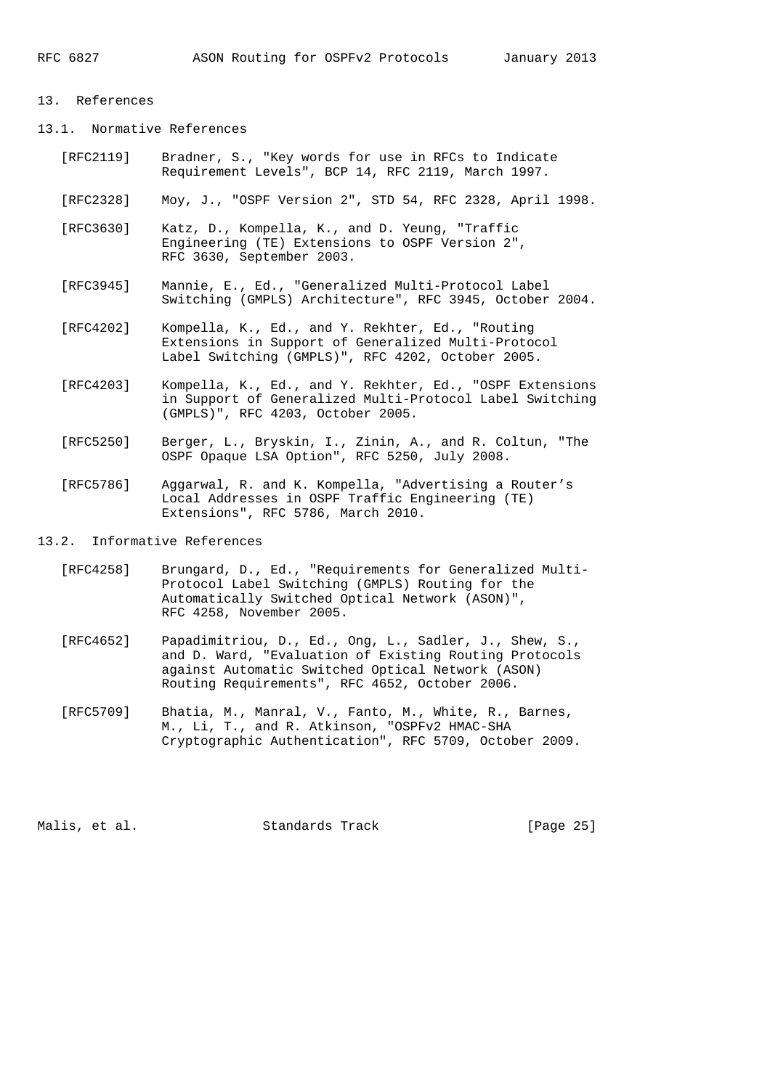#### 13. References

13.1. Normative References

- [RFC2119] Bradner, S., "Key words for use in RFCs to Indicate Requirement Levels", BCP 14, RFC 2119, March 1997.
- [RFC2328] Moy, J., "OSPF Version 2", STD 54, RFC 2328, April 1998.
- [RFC3630] Katz, D., Kompella, K., and D. Yeung, "Traffic Engineering (TE) Extensions to OSPF Version 2", RFC 3630, September 2003.
- [RFC3945] Mannie, E., Ed., "Generalized Multi-Protocol Label Switching (GMPLS) Architecture", RFC 3945, October 2004.
- [RFC4202] Kompella, K., Ed., and Y. Rekhter, Ed., "Routing Extensions in Support of Generalized Multi-Protocol Label Switching (GMPLS)", RFC 4202, October 2005.
- [RFC4203] Kompella, K., Ed., and Y. Rekhter, Ed., "OSPF Extensions in Support of Generalized Multi-Protocol Label Switching (GMPLS)", RFC 4203, October 2005.
- [RFC5250] Berger, L., Bryskin, I., Zinin, A., and R. Coltun, "The OSPF Opaque LSA Option", RFC 5250, July 2008.
- [RFC5786] Aggarwal, R. and K. Kompella, "Advertising a Router's Local Addresses in OSPF Traffic Engineering (TE) Extensions", RFC 5786, March 2010.
- 13.2. Informative References
	- [RFC4258] Brungard, D., Ed., "Requirements for Generalized Multi- Protocol Label Switching (GMPLS) Routing for the Automatically Switched Optical Network (ASON)", RFC 4258, November 2005.
	- [RFC4652] Papadimitriou, D., Ed., Ong, L., Sadler, J., Shew, S., and D. Ward, "Evaluation of Existing Routing Protocols against Automatic Switched Optical Network (ASON) Routing Requirements", RFC 4652, October 2006.
	- [RFC5709] Bhatia, M., Manral, V., Fanto, M., White, R., Barnes, M., Li, T., and R. Atkinson, "OSPFv2 HMAC-SHA Cryptographic Authentication", RFC 5709, October 2009.

Malis, et al. Standards Track [Page 25]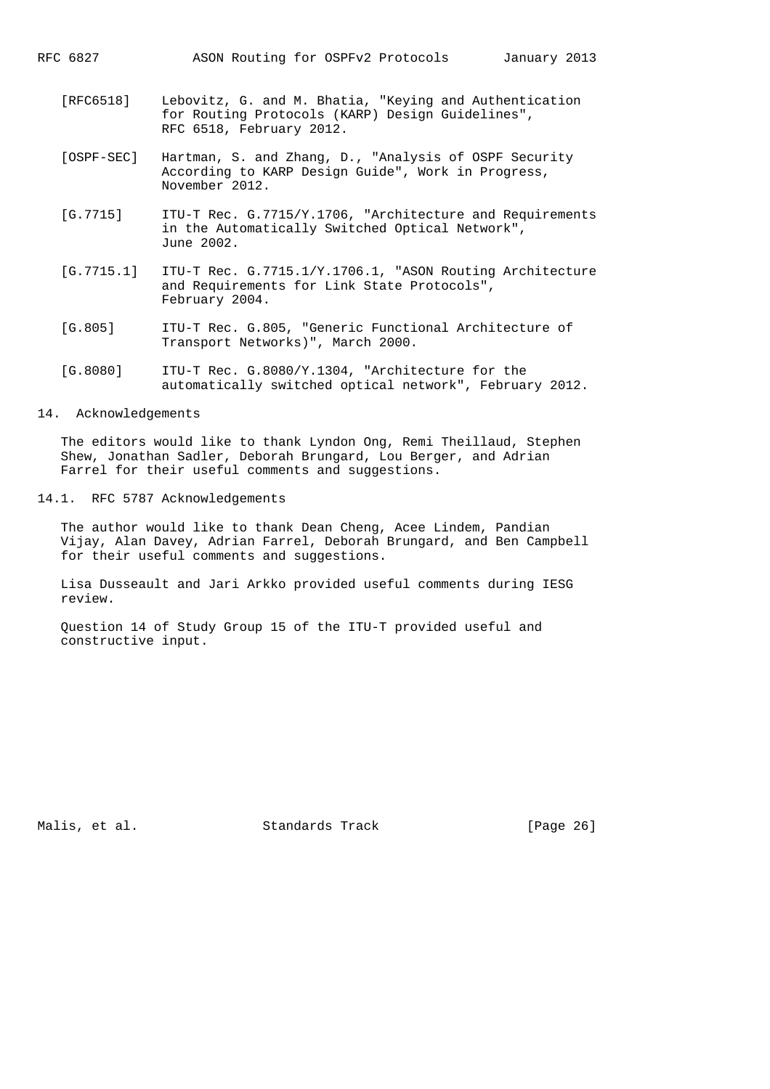- [RFC6518] Lebovitz, G. and M. Bhatia, "Keying and Authentication for Routing Protocols (KARP) Design Guidelines", RFC 6518, February 2012.
- [OSPF-SEC] Hartman, S. and Zhang, D., "Analysis of OSPF Security According to KARP Design Guide", Work in Progress, November 2012.
- [G.7715] ITU-T Rec. G.7715/Y.1706, "Architecture and Requirements in the Automatically Switched Optical Network", June 2002.
- [G.7715.1] ITU-T Rec. G.7715.1/Y.1706.1, "ASON Routing Architecture and Requirements for Link State Protocols", February 2004.
- [G.805] ITU-T Rec. G.805, "Generic Functional Architecture of Transport Networks)", March 2000.
- [G.8080] ITU-T Rec. G.8080/Y.1304, "Architecture for the automatically switched optical network", February 2012.
- 14. Acknowledgements

 The editors would like to thank Lyndon Ong, Remi Theillaud, Stephen Shew, Jonathan Sadler, Deborah Brungard, Lou Berger, and Adrian Farrel for their useful comments and suggestions.

14.1. RFC 5787 Acknowledgements

 The author would like to thank Dean Cheng, Acee Lindem, Pandian Vijay, Alan Davey, Adrian Farrel, Deborah Brungard, and Ben Campbell for their useful comments and suggestions.

 Lisa Dusseault and Jari Arkko provided useful comments during IESG review.

 Question 14 of Study Group 15 of the ITU-T provided useful and constructive input.

Malis, et al. Standards Track [Page 26]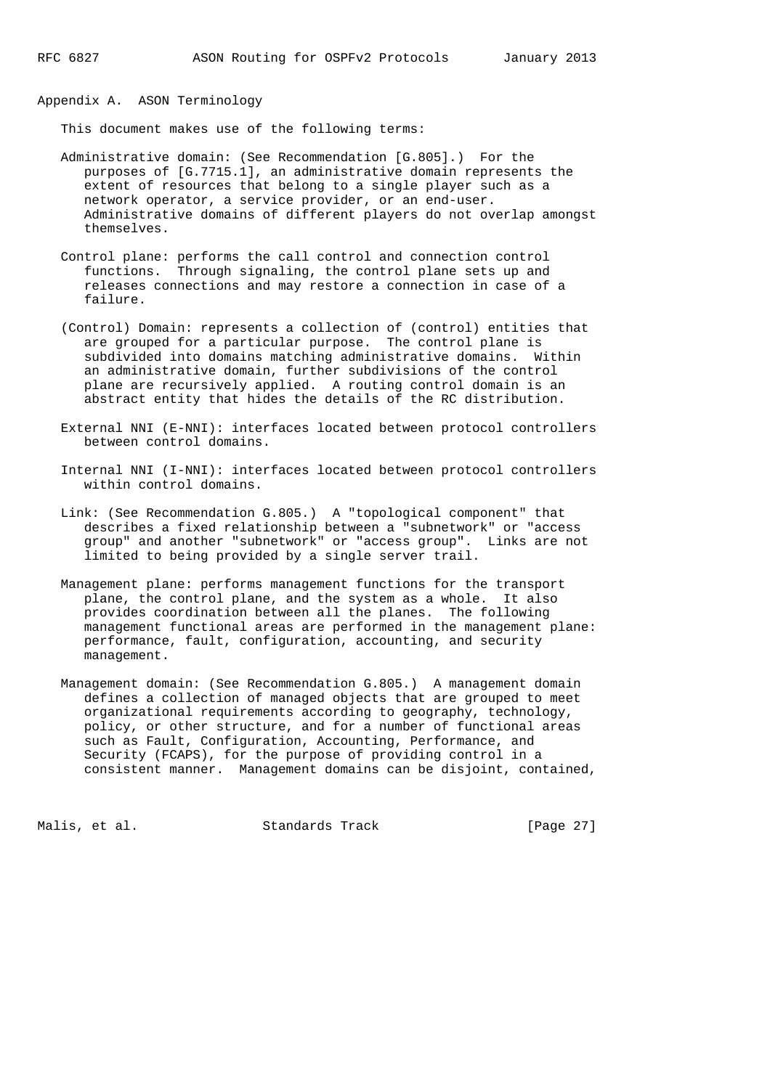Appendix A. ASON Terminology

This document makes use of the following terms:

- Administrative domain: (See Recommendation [G.805].) For the purposes of [G.7715.1], an administrative domain represents the extent of resources that belong to a single player such as a network operator, a service provider, or an end-user. Administrative domains of different players do not overlap amongst themselves.
- Control plane: performs the call control and connection control functions. Through signaling, the control plane sets up and releases connections and may restore a connection in case of a failure.
- (Control) Domain: represents a collection of (control) entities that are grouped for a particular purpose. The control plane is subdivided into domains matching administrative domains. Within an administrative domain, further subdivisions of the control plane are recursively applied. A routing control domain is an abstract entity that hides the details of the RC distribution.
- External NNI (E-NNI): interfaces located between protocol controllers between control domains.
- Internal NNI (I-NNI): interfaces located between protocol controllers within control domains.
- Link: (See Recommendation G.805.) A "topological component" that describes a fixed relationship between a "subnetwork" or "access group" and another "subnetwork" or "access group". Links are not limited to being provided by a single server trail.
- Management plane: performs management functions for the transport plane, the control plane, and the system as a whole. It also provides coordination between all the planes. The following management functional areas are performed in the management plane: performance, fault, configuration, accounting, and security management.
- Management domain: (See Recommendation G.805.) A management domain defines a collection of managed objects that are grouped to meet organizational requirements according to geography, technology, policy, or other structure, and for a number of functional areas such as Fault, Configuration, Accounting, Performance, and Security (FCAPS), for the purpose of providing control in a consistent manner. Management domains can be disjoint, contained,

Malis, et al. Standards Track [Page 27]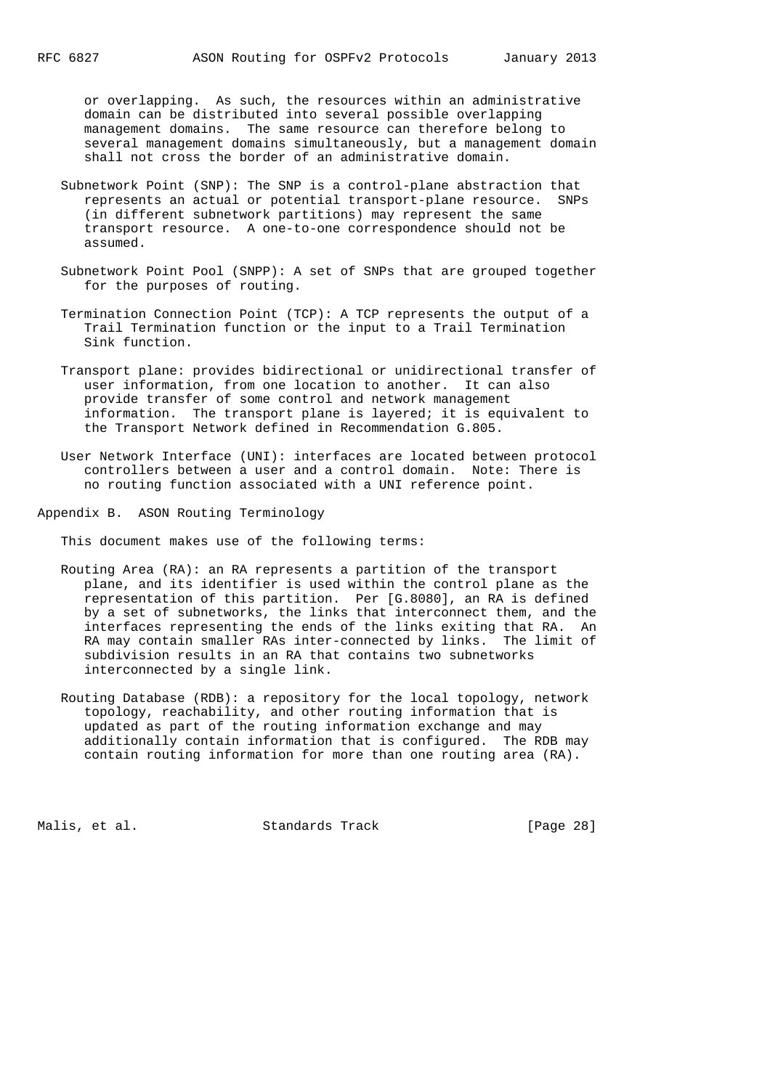or overlapping. As such, the resources within an administrative domain can be distributed into several possible overlapping management domains. The same resource can therefore belong to several management domains simultaneously, but a management domain shall not cross the border of an administrative domain.

- Subnetwork Point (SNP): The SNP is a control-plane abstraction that represents an actual or potential transport-plane resource. SNPs (in different subnetwork partitions) may represent the same transport resource. A one-to-one correspondence should not be assumed.
- Subnetwork Point Pool (SNPP): A set of SNPs that are grouped together for the purposes of routing.
- Termination Connection Point (TCP): A TCP represents the output of a Trail Termination function or the input to a Trail Termination Sink function.
- Transport plane: provides bidirectional or unidirectional transfer of user information, from one location to another. It can also provide transfer of some control and network management information. The transport plane is layered; it is equivalent to the Transport Network defined in Recommendation G.805.

 User Network Interface (UNI): interfaces are located between protocol controllers between a user and a control domain. Note: There is no routing function associated with a UNI reference point.

Appendix B. ASON Routing Terminology

This document makes use of the following terms:

- Routing Area (RA): an RA represents a partition of the transport plane, and its identifier is used within the control plane as the representation of this partition. Per [G.8080], an RA is defined by a set of subnetworks, the links that interconnect them, and the interfaces representing the ends of the links exiting that RA. An RA may contain smaller RAs inter-connected by links. The limit of subdivision results in an RA that contains two subnetworks interconnected by a single link.
- Routing Database (RDB): a repository for the local topology, network topology, reachability, and other routing information that is updated as part of the routing information exchange and may additionally contain information that is configured. The RDB may contain routing information for more than one routing area (RA).

Malis, et al. Standards Track [Page 28]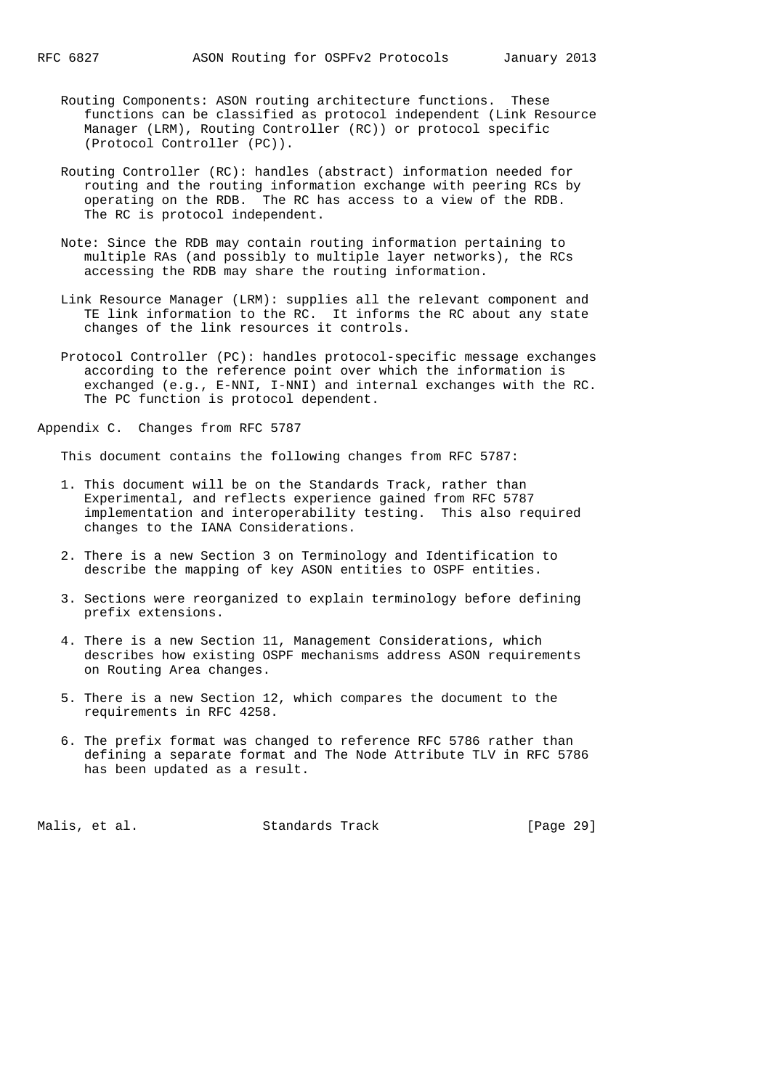- Routing Components: ASON routing architecture functions. These functions can be classified as protocol independent (Link Resource Manager (LRM), Routing Controller (RC)) or protocol specific (Protocol Controller (PC)).
- Routing Controller (RC): handles (abstract) information needed for routing and the routing information exchange with peering RCs by operating on the RDB. The RC has access to a view of the RDB. The RC is protocol independent.
- Note: Since the RDB may contain routing information pertaining to multiple RAs (and possibly to multiple layer networks), the RCs accessing the RDB may share the routing information.
- Link Resource Manager (LRM): supplies all the relevant component and TE link information to the RC. It informs the RC about any state changes of the link resources it controls.
- Protocol Controller (PC): handles protocol-specific message exchanges according to the reference point over which the information is exchanged (e.g., E-NNI, I-NNI) and internal exchanges with the RC. The PC function is protocol dependent.

Appendix C. Changes from RFC 5787

This document contains the following changes from RFC 5787:

- 1. This document will be on the Standards Track, rather than Experimental, and reflects experience gained from RFC 5787 implementation and interoperability testing. This also required changes to the IANA Considerations.
- 2. There is a new Section 3 on Terminology and Identification to describe the mapping of key ASON entities to OSPF entities.
- 3. Sections were reorganized to explain terminology before defining prefix extensions.
- 4. There is a new Section 11, Management Considerations, which describes how existing OSPF mechanisms address ASON requirements on Routing Area changes.
- 5. There is a new Section 12, which compares the document to the requirements in RFC 4258.
- 6. The prefix format was changed to reference RFC 5786 rather than defining a separate format and The Node Attribute TLV in RFC 5786 has been updated as a result.

Malis, et al. Standards Track [Page 29]